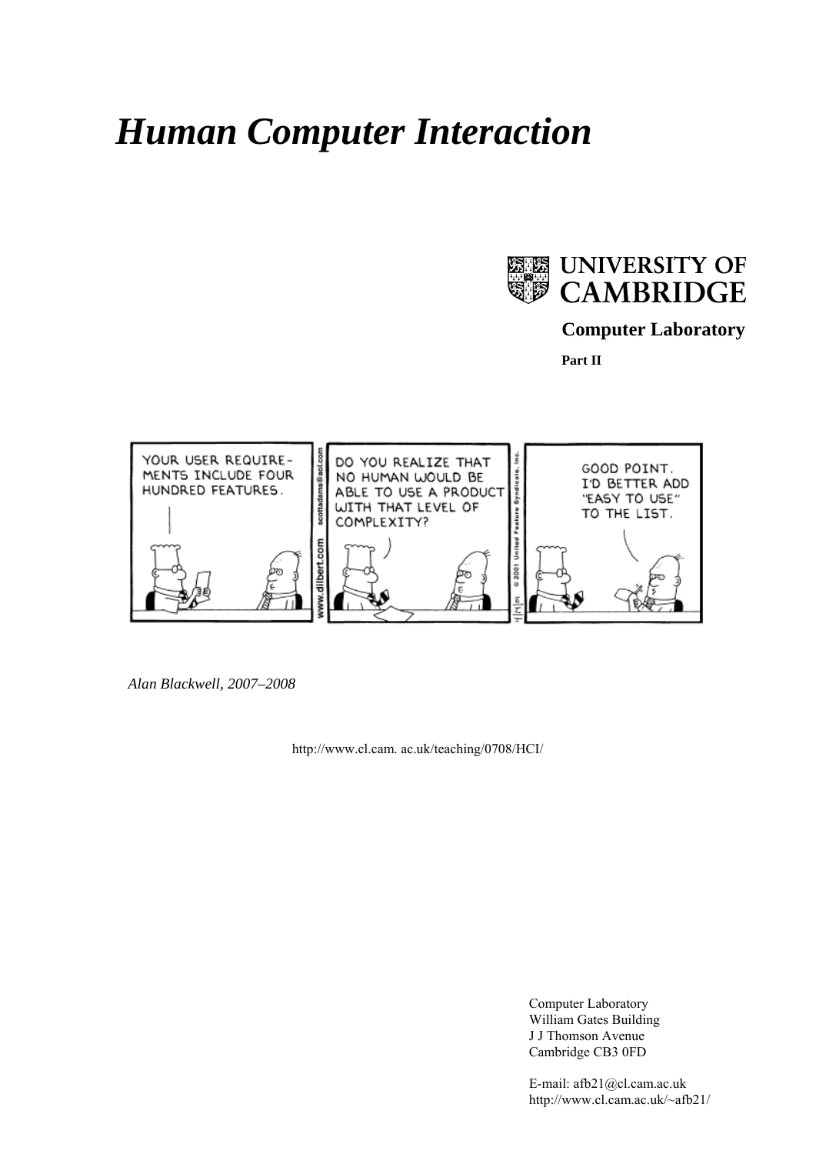# *Human Computer Interaction*



# **Computer Laboratory**

**Part II**



*Alan Blackwell, 2007–2008* 

http://www.cl.cam. ac.uk/teaching/0708/HCI/

Computer Laboratory William Gates Building J J Thomson Avenue Cambridge CB3 0FD

E-mail: afb21@cl.cam.ac.uk http://www.cl.cam.ac.uk/~afb21/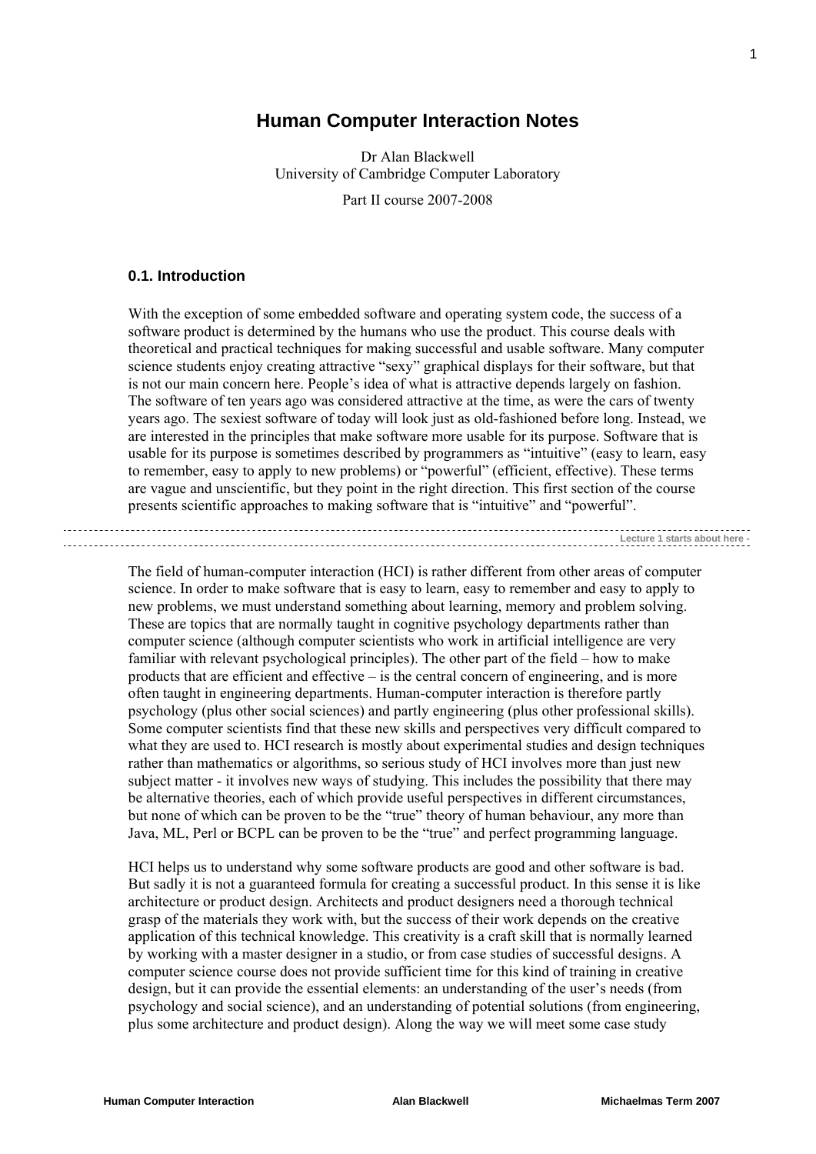# **Human Computer Interaction Notes**

Dr Alan Blackwell University of Cambridge Computer Laboratory Part II course 2007-2008

# **0.1. Introduction**

With the exception of some embedded software and operating system code, the success of a software product is determined by the humans who use the product. This course deals with theoretical and practical techniques for making successful and usable software. Many computer science students enjoy creating attractive "sexy" graphical displays for their software, but that is not our main concern here. People's idea of what is attractive depends largely on fashion. The software of ten years ago was considered attractive at the time, as were the cars of twenty years ago. The sexiest software of today will look just as old-fashioned before long. Instead, we are interested in the principles that make software more usable for its purpose. Software that is usable for its purpose is sometimes described by programmers as "intuitive" (easy to learn, easy to remember, easy to apply to new problems) or "powerful" (efficient, effective). These terms are vague and unscientific, but they point in the right direction. This first section of the course presents scientific approaches to making software that is "intuitive" and "powerful".

**Lecture 1 starts about here -** 

The field of human-computer interaction (HCI) is rather different from other areas of computer science. In order to make software that is easy to learn, easy to remember and easy to apply to new problems, we must understand something about learning, memory and problem solving. These are topics that are normally taught in cognitive psychology departments rather than computer science (although computer scientists who work in artificial intelligence are very familiar with relevant psychological principles). The other part of the field – how to make products that are efficient and effective – is the central concern of engineering, and is more often taught in engineering departments. Human-computer interaction is therefore partly psychology (plus other social sciences) and partly engineering (plus other professional skills). Some computer scientists find that these new skills and perspectives very difficult compared to what they are used to. HCI research is mostly about experimental studies and design techniques rather than mathematics or algorithms, so serious study of HCI involves more than just new subject matter - it involves new ways of studying. This includes the possibility that there may be alternative theories, each of which provide useful perspectives in different circumstances, but none of which can be proven to be the "true" theory of human behaviour, any more than Java, ML, Perl or BCPL can be proven to be the "true" and perfect programming language.

HCI helps us to understand why some software products are good and other software is bad. But sadly it is not a guaranteed formula for creating a successful product. In this sense it is like architecture or product design. Architects and product designers need a thorough technical grasp of the materials they work with, but the success of their work depends on the creative application of this technical knowledge. This creativity is a craft skill that is normally learned by working with a master designer in a studio, or from case studies of successful designs. A computer science course does not provide sufficient time for this kind of training in creative design, but it can provide the essential elements: an understanding of the user's needs (from psychology and social science), and an understanding of potential solutions (from engineering, plus some architecture and product design). Along the way we will meet some case study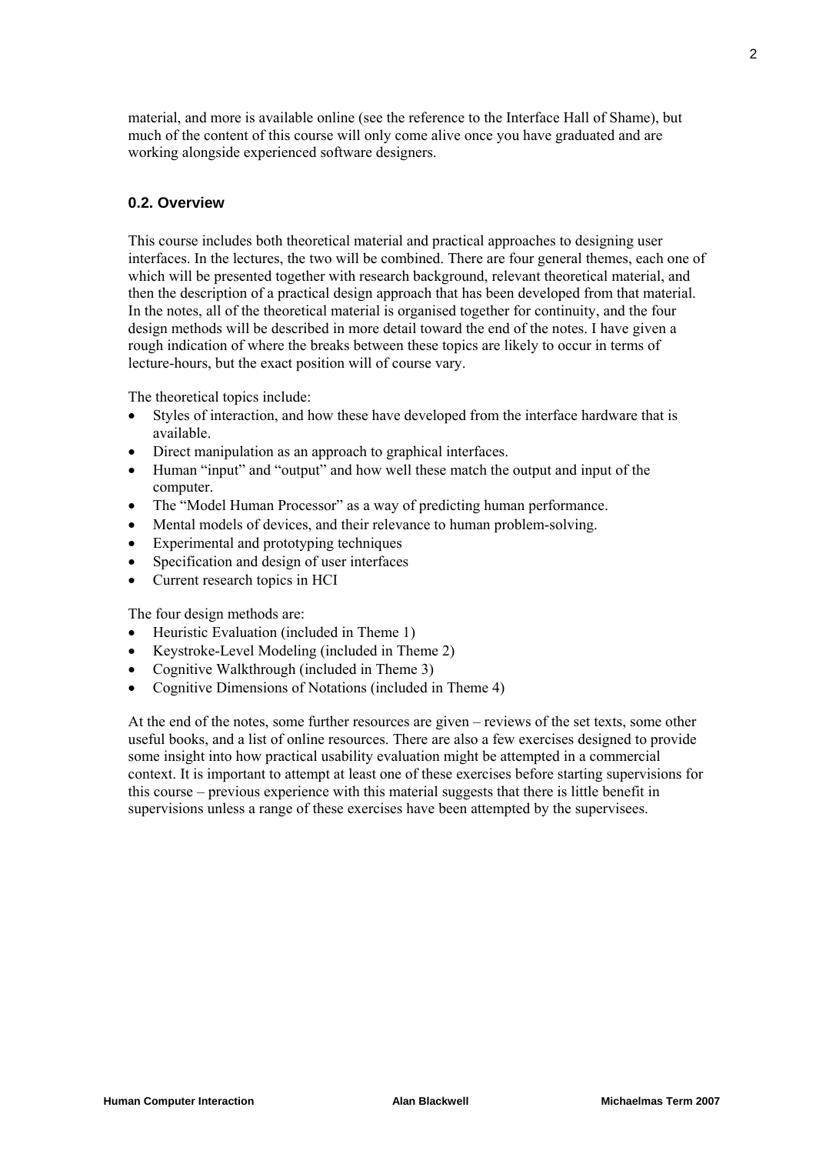material, and more is available online (see the reference to the Interface Hall of Shame), but much of the content of this course will only come alive once you have graduated and are working alongside experienced software designers.

# **0.2. Overview**

This course includes both theoretical material and practical approaches to designing user interfaces. In the lectures, the two will be combined. There are four general themes, each one of which will be presented together with research background, relevant theoretical material, and then the description of a practical design approach that has been developed from that material. In the notes, all of the theoretical material is organised together for continuity, and the four design methods will be described in more detail toward the end of the notes. I have given a rough indication of where the breaks between these topics are likely to occur in terms of lecture-hours, but the exact position will of course vary.

The theoretical topics include:

- Styles of interaction, and how these have developed from the interface hardware that is available.
- Direct manipulation as an approach to graphical interfaces.
- Human "input" and "output" and how well these match the output and input of the computer.
- The "Model Human Processor" as a way of predicting human performance.
- Mental models of devices, and their relevance to human problem-solving.
- Experimental and prototyping techniques
- Specification and design of user interfaces
- Current research topics in HCI

The four design methods are:

- Heuristic Evaluation (included in Theme 1)
- Keystroke-Level Modeling (included in Theme 2)
- Cognitive Walkthrough (included in Theme 3)
- Cognitive Dimensions of Notations (included in Theme 4)

At the end of the notes, some further resources are given – reviews of the set texts, some other useful books, and a list of online resources. There are also a few exercises designed to provide some insight into how practical usability evaluation might be attempted in a commercial context. It is important to attempt at least one of these exercises before starting supervisions for this course – previous experience with this material suggests that there is little benefit in supervisions unless a range of these exercises have been attempted by the supervisees.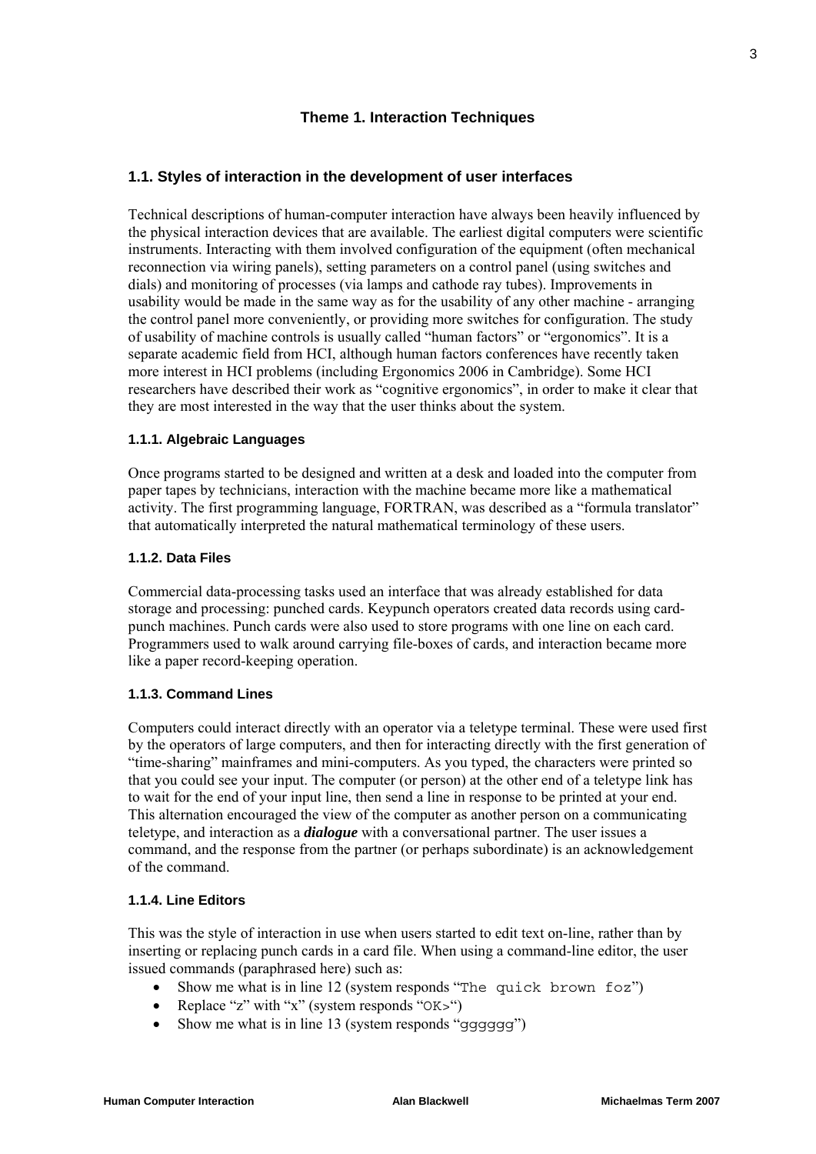# **Theme 1. Interaction Techniques**

# **1.1. Styles of interaction in the development of user interfaces**

Technical descriptions of human-computer interaction have always been heavily influenced by the physical interaction devices that are available. The earliest digital computers were scientific instruments. Interacting with them involved configuration of the equipment (often mechanical reconnection via wiring panels), setting parameters on a control panel (using switches and dials) and monitoring of processes (via lamps and cathode ray tubes). Improvements in usability would be made in the same way as for the usability of any other machine - arranging the control panel more conveniently, or providing more switches for configuration. The study of usability of machine controls is usually called "human factors" or "ergonomics". It is a separate academic field from HCI, although human factors conferences have recently taken more interest in HCI problems (including Ergonomics 2006 in Cambridge). Some HCI researchers have described their work as "cognitive ergonomics", in order to make it clear that they are most interested in the way that the user thinks about the system.

### **1.1.1. Algebraic Languages**

Once programs started to be designed and written at a desk and loaded into the computer from paper tapes by technicians, interaction with the machine became more like a mathematical activity. The first programming language, FORTRAN, was described as a "formula translator" that automatically interpreted the natural mathematical terminology of these users.

### **1.1.2. Data Files**

Commercial data-processing tasks used an interface that was already established for data storage and processing: punched cards. Keypunch operators created data records using cardpunch machines. Punch cards were also used to store programs with one line on each card. Programmers used to walk around carrying file-boxes of cards, and interaction became more like a paper record-keeping operation.

# **1.1.3. Command Lines**

Computers could interact directly with an operator via a teletype terminal. These were used first by the operators of large computers, and then for interacting directly with the first generation of "time-sharing" mainframes and mini-computers. As you typed, the characters were printed so that you could see your input. The computer (or person) at the other end of a teletype link has to wait for the end of your input line, then send a line in response to be printed at your end. This alternation encouraged the view of the computer as another person on a communicating teletype, and interaction as a *dialogue* with a conversational partner. The user issues a command, and the response from the partner (or perhaps subordinate) is an acknowledgement of the command.

### **1.1.4. Line Editors**

This was the style of interaction in use when users started to edit text on-line, rather than by inserting or replacing punch cards in a card file. When using a command-line editor, the user issued commands (paraphrased here) such as:

- Show me what is in line 12 (system responds "The quick brown foz")
- Replace "z" with "x" (system responds " $OK>$ ")
- Show me what is in line 13 (system responds "ggggggg")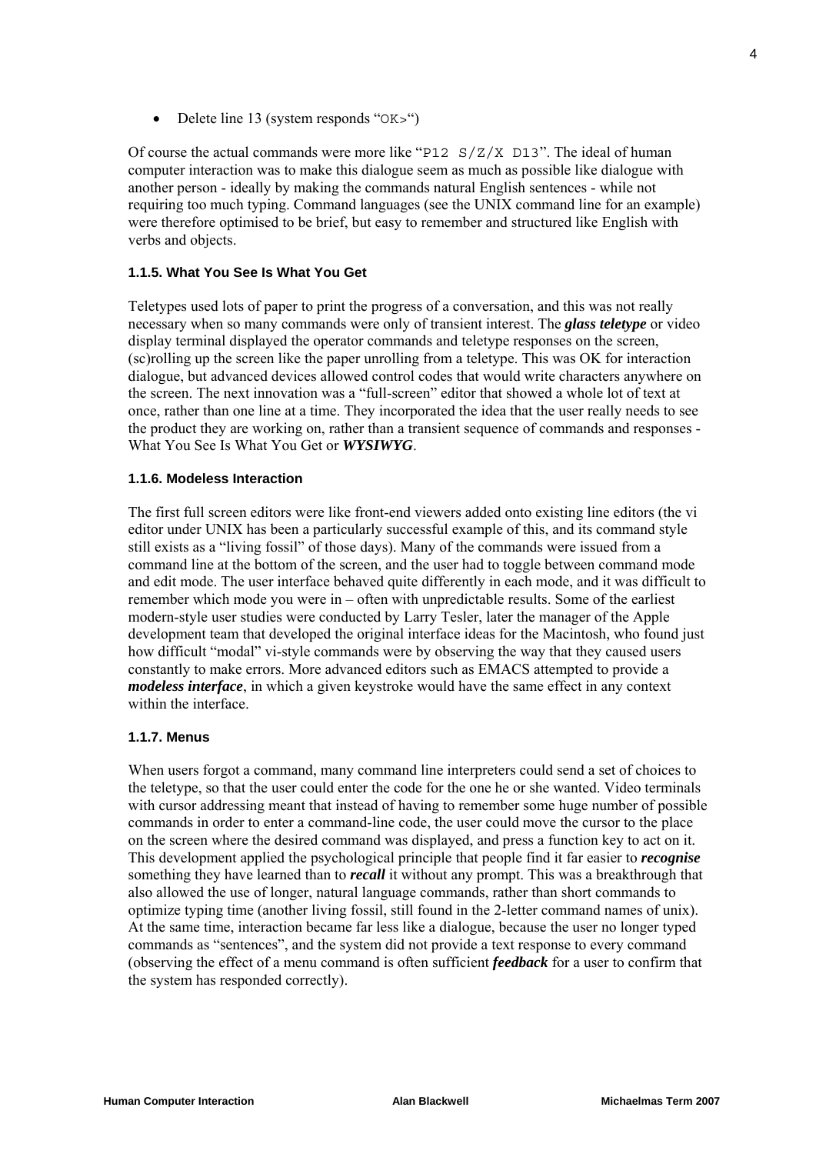• Delete line 13 (system responds " $OK>$ ")

Of course the actual commands were more like "P12  $S/Z/X$  D13". The ideal of human computer interaction was to make this dialogue seem as much as possible like dialogue with another person - ideally by making the commands natural English sentences - while not requiring too much typing. Command languages (see the UNIX command line for an example) were therefore optimised to be brief, but easy to remember and structured like English with verbs and objects.

# **1.1.5. What You See Is What You Get**

Teletypes used lots of paper to print the progress of a conversation, and this was not really necessary when so many commands were only of transient interest. The *glass teletype* or video display terminal displayed the operator commands and teletype responses on the screen, (sc)rolling up the screen like the paper unrolling from a teletype. This was OK for interaction dialogue, but advanced devices allowed control codes that would write characters anywhere on the screen. The next innovation was a "full-screen" editor that showed a whole lot of text at once, rather than one line at a time. They incorporated the idea that the user really needs to see the product they are working on, rather than a transient sequence of commands and responses - What You See Is What You Get or *WYSIWYG*.

# **1.1.6. Modeless Interaction**

The first full screen editors were like front-end viewers added onto existing line editors (the vi editor under UNIX has been a particularly successful example of this, and its command style still exists as a "living fossil" of those days). Many of the commands were issued from a command line at the bottom of the screen, and the user had to toggle between command mode and edit mode. The user interface behaved quite differently in each mode, and it was difficult to remember which mode you were in – often with unpredictable results. Some of the earliest modern-style user studies were conducted by Larry Tesler, later the manager of the Apple development team that developed the original interface ideas for the Macintosh, who found just how difficult "modal" vi-style commands were by observing the way that they caused users constantly to make errors. More advanced editors such as EMACS attempted to provide a *modeless interface*, in which a given keystroke would have the same effect in any context within the interface.

# **1.1.7. Menus**

When users forgot a command, many command line interpreters could send a set of choices to the teletype, so that the user could enter the code for the one he or she wanted. Video terminals with cursor addressing meant that instead of having to remember some huge number of possible commands in order to enter a command-line code, the user could move the cursor to the place on the screen where the desired command was displayed, and press a function key to act on it. This development applied the psychological principle that people find it far easier to *recognise* something they have learned than to *recall* it without any prompt. This was a breakthrough that also allowed the use of longer, natural language commands, rather than short commands to optimize typing time (another living fossil, still found in the 2-letter command names of unix). At the same time, interaction became far less like a dialogue, because the user no longer typed commands as "sentences", and the system did not provide a text response to every command (observing the effect of a menu command is often sufficient *feedback* for a user to confirm that the system has responded correctly).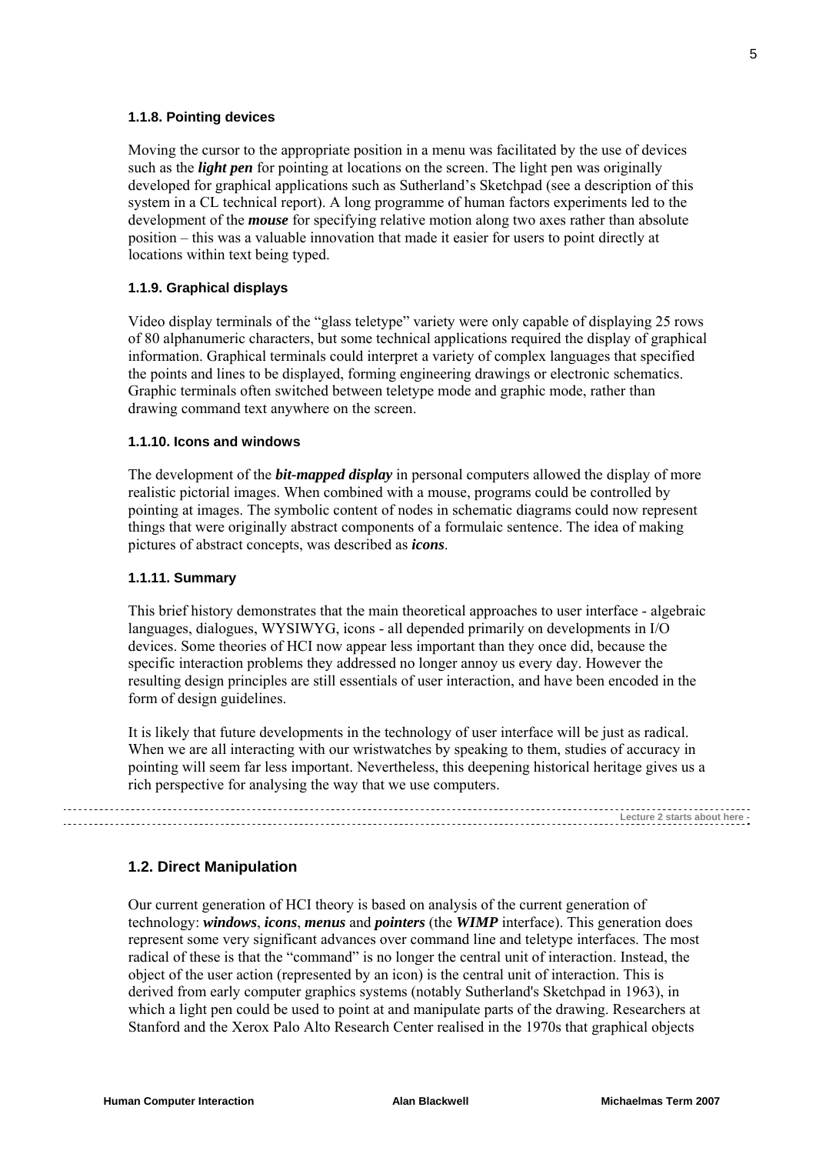### **1.1.8. Pointing devices**

Moving the cursor to the appropriate position in a menu was facilitated by the use of devices such as the *light pen* for pointing at locations on the screen. The light pen was originally developed for graphical applications such as Sutherland's Sketchpad (see a description of this system in a CL technical report). A long programme of human factors experiments led to the development of the *mouse* for specifying relative motion along two axes rather than absolute position – this was a valuable innovation that made it easier for users to point directly at locations within text being typed.

# **1.1.9. Graphical displays**

Video display terminals of the "glass teletype" variety were only capable of displaying 25 rows of 80 alphanumeric characters, but some technical applications required the display of graphical information. Graphical terminals could interpret a variety of complex languages that specified the points and lines to be displayed, forming engineering drawings or electronic schematics. Graphic terminals often switched between teletype mode and graphic mode, rather than drawing command text anywhere on the screen.

# **1.1.10. Icons and windows**

The development of the *bit-mapped display* in personal computers allowed the display of more realistic pictorial images. When combined with a mouse, programs could be controlled by pointing at images. The symbolic content of nodes in schematic diagrams could now represent things that were originally abstract components of a formulaic sentence. The idea of making pictures of abstract concepts, was described as *icons*.

### **1.1.11. Summary**

This brief history demonstrates that the main theoretical approaches to user interface - algebraic languages, dialogues, WYSIWYG, icons - all depended primarily on developments in I/O devices. Some theories of HCI now appear less important than they once did, because the specific interaction problems they addressed no longer annoy us every day. However the resulting design principles are still essentials of user interaction, and have been encoded in the form of design guidelines.

It is likely that future developments in the technology of user interface will be just as radical. When we are all interacting with our wristwatches by speaking to them, studies of accuracy in pointing will seem far less important. Nevertheless, this deepening historical heritage gives us a rich perspective for analysing the way that we use computers.

**Lecture 2 starts about here -** 

# **1.2. Direct Manipulation**

Our current generation of HCI theory is based on analysis of the current generation of technology: *windows*, *icons*, *menus* and *pointers* (the *WIMP* interface). This generation does represent some very significant advances over command line and teletype interfaces. The most radical of these is that the "command" is no longer the central unit of interaction. Instead, the object of the user action (represented by an icon) is the central unit of interaction. This is derived from early computer graphics systems (notably Sutherland's Sketchpad in 1963), in which a light pen could be used to point at and manipulate parts of the drawing. Researchers at Stanford and the Xerox Palo Alto Research Center realised in the 1970s that graphical objects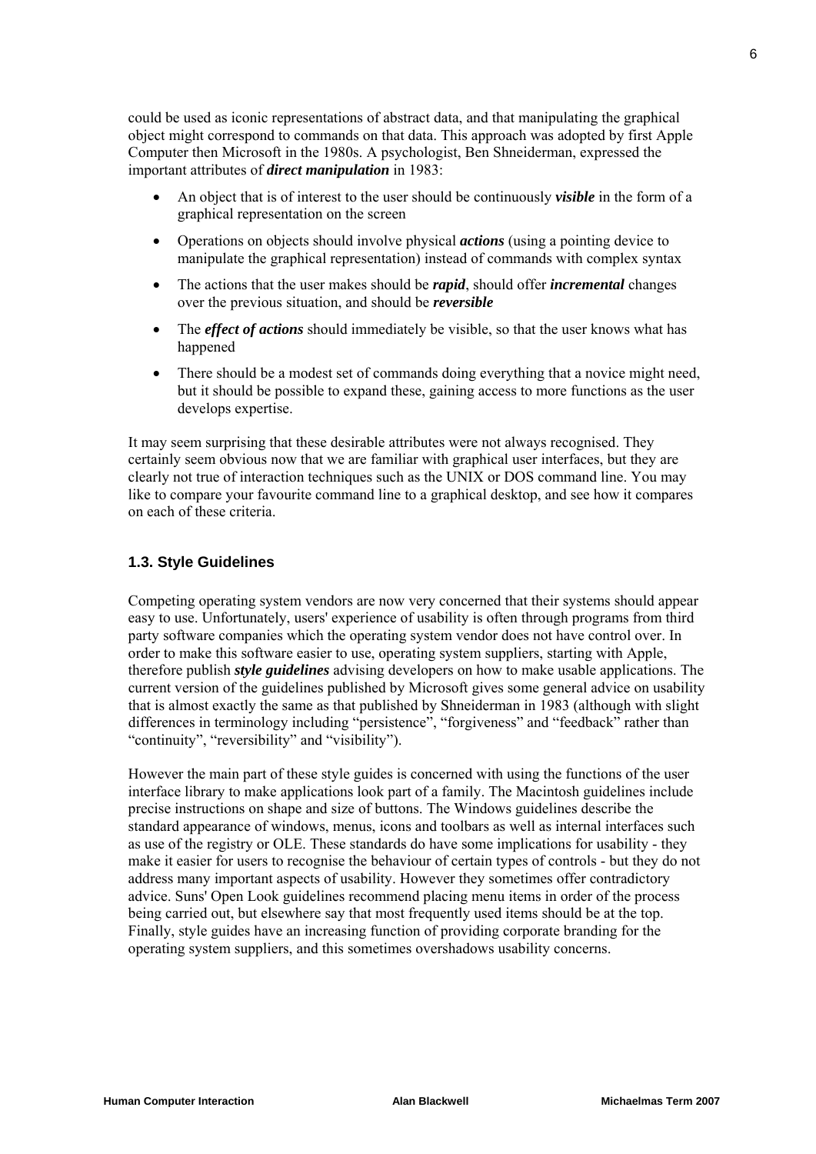could be used as iconic representations of abstract data, and that manipulating the graphical object might correspond to commands on that data. This approach was adopted by first Apple Computer then Microsoft in the 1980s. A psychologist, Ben Shneiderman, expressed the important attributes of *direct manipulation* in 1983:

- An object that is of interest to the user should be continuously *visible* in the form of a graphical representation on the screen
- Operations on objects should involve physical *actions* (using a pointing device to manipulate the graphical representation) instead of commands with complex syntax
- The actions that the user makes should be *rapid*, should offer *incremental* changes over the previous situation, and should be *reversible*
- The *effect of actions* should immediately be visible, so that the user knows what has happened
- There should be a modest set of commands doing everything that a novice might need, but it should be possible to expand these, gaining access to more functions as the user develops expertise.

It may seem surprising that these desirable attributes were not always recognised. They certainly seem obvious now that we are familiar with graphical user interfaces, but they are clearly not true of interaction techniques such as the UNIX or DOS command line. You may like to compare your favourite command line to a graphical desktop, and see how it compares on each of these criteria.

# **1.3. Style Guidelines**

Competing operating system vendors are now very concerned that their systems should appear easy to use. Unfortunately, users' experience of usability is often through programs from third party software companies which the operating system vendor does not have control over. In order to make this software easier to use, operating system suppliers, starting with Apple, therefore publish *style guidelines* advising developers on how to make usable applications. The current version of the guidelines published by Microsoft gives some general advice on usability that is almost exactly the same as that published by Shneiderman in 1983 (although with slight differences in terminology including "persistence", "forgiveness" and "feedback" rather than "continuity", "reversibility" and "visibility").

However the main part of these style guides is concerned with using the functions of the user interface library to make applications look part of a family. The Macintosh guidelines include precise instructions on shape and size of buttons. The Windows guidelines describe the standard appearance of windows, menus, icons and toolbars as well as internal interfaces such as use of the registry or OLE. These standards do have some implications for usability - they make it easier for users to recognise the behaviour of certain types of controls - but they do not address many important aspects of usability. However they sometimes offer contradictory advice. Suns' Open Look guidelines recommend placing menu items in order of the process being carried out, but elsewhere say that most frequently used items should be at the top. Finally, style guides have an increasing function of providing corporate branding for the operating system suppliers, and this sometimes overshadows usability concerns.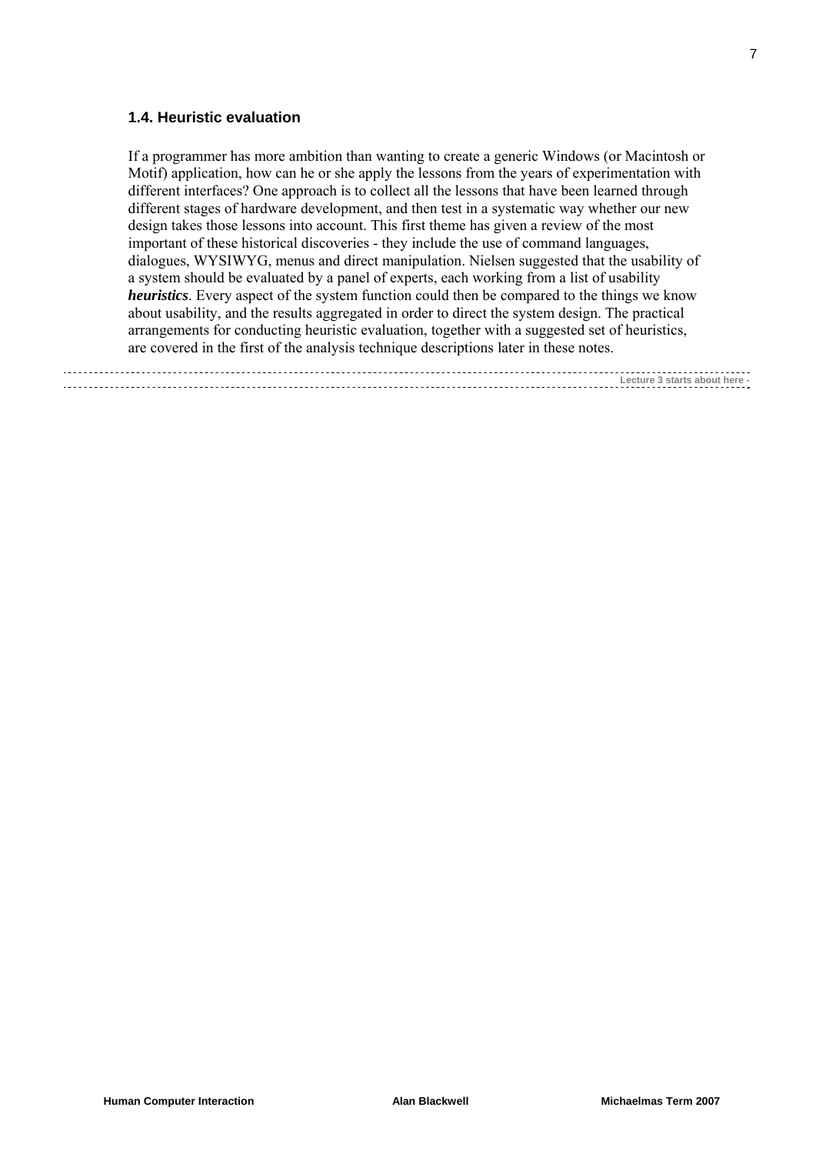# **1.4. Heuristic evaluation**

If a programmer has more ambition than wanting to create a generic Windows (or Macintosh or Motif) application, how can he or she apply the lessons from the years of experimentation with different interfaces? One approach is to collect all the lessons that have been learned through different stages of hardware development, and then test in a systematic way whether our new design takes those lessons into account. This first theme has given a review of the most important of these historical discoveries - they include the use of command languages, dialogues, WYSIWYG, menus and direct manipulation. Nielsen suggested that the usability of a system should be evaluated by a panel of experts, each working from a list of usability *heuristics*. Every aspect of the system function could then be compared to the things we know about usability, and the results aggregated in order to direct the system design. The practical arrangements for conducting heuristic evaluation, together with a suggested set of heuristics, are covered in the first of the analysis technique descriptions later in these notes.

**Lecture 3 starts about here -**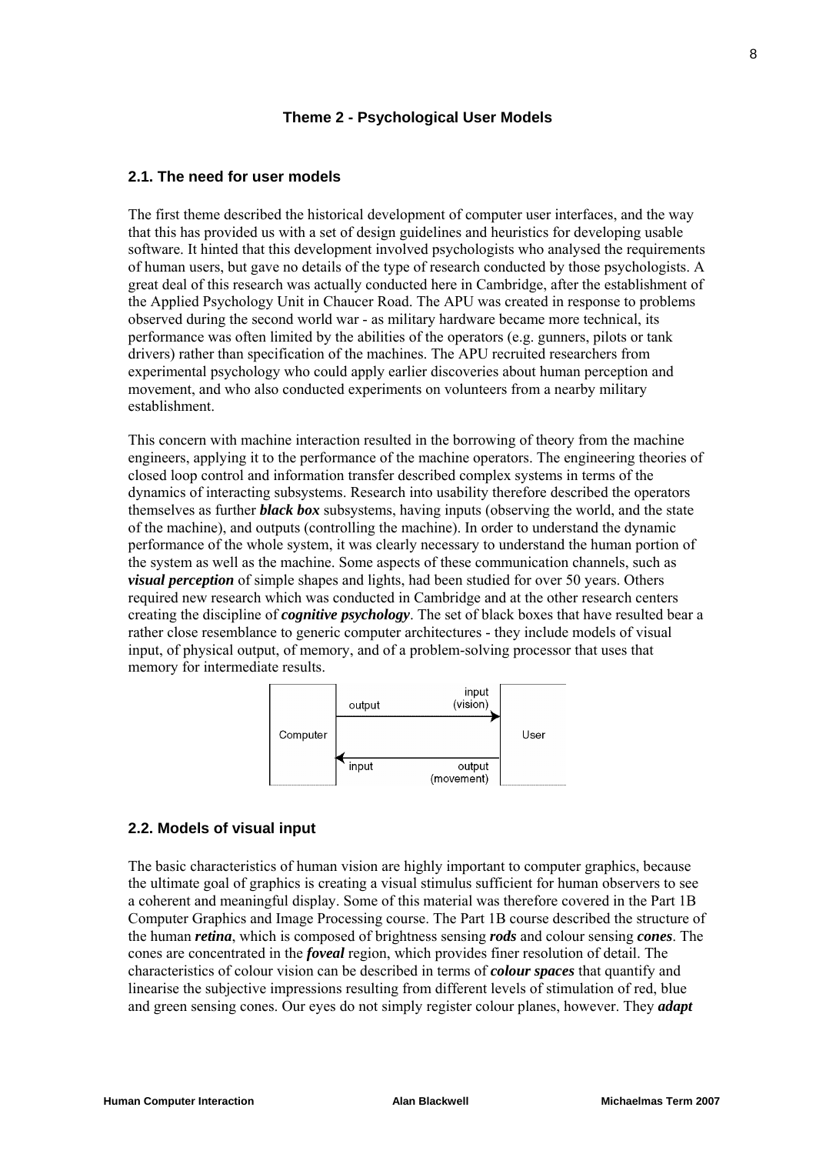# **Theme 2 - Psychological User Models**

# **2.1. The need for user models**

The first theme described the historical development of computer user interfaces, and the way that this has provided us with a set of design guidelines and heuristics for developing usable software. It hinted that this development involved psychologists who analysed the requirements of human users, but gave no details of the type of research conducted by those psychologists. A great deal of this research was actually conducted here in Cambridge, after the establishment of the Applied Psychology Unit in Chaucer Road. The APU was created in response to problems observed during the second world war - as military hardware became more technical, its performance was often limited by the abilities of the operators (e.g. gunners, pilots or tank drivers) rather than specification of the machines. The APU recruited researchers from experimental psychology who could apply earlier discoveries about human perception and movement, and who also conducted experiments on volunteers from a nearby military establishment.

This concern with machine interaction resulted in the borrowing of theory from the machine engineers, applying it to the performance of the machine operators. The engineering theories of closed loop control and information transfer described complex systems in terms of the dynamics of interacting subsystems. Research into usability therefore described the operators themselves as further *black box* subsystems, having inputs (observing the world, and the state of the machine), and outputs (controlling the machine). In order to understand the dynamic performance of the whole system, it was clearly necessary to understand the human portion of the system as well as the machine. Some aspects of these communication channels, such as *visual perception* of simple shapes and lights, had been studied for over 50 years. Others required new research which was conducted in Cambridge and at the other research centers creating the discipline of *cognitive psychology*. The set of black boxes that have resulted bear a rather close resemblance to generic computer architectures - they include models of visual input, of physical output, of memory, and of a problem-solving processor that uses that memory for intermediate results.



# **2.2. Models of visual input**

The basic characteristics of human vision are highly important to computer graphics, because the ultimate goal of graphics is creating a visual stimulus sufficient for human observers to see a coherent and meaningful display. Some of this material was therefore covered in the Part 1B Computer Graphics and Image Processing course. The Part 1B course described the structure of the human *retina*, which is composed of brightness sensing *rods* and colour sensing *cones*. The cones are concentrated in the *foveal* region, which provides finer resolution of detail. The characteristics of colour vision can be described in terms of *colour spaces* that quantify and linearise the subjective impressions resulting from different levels of stimulation of red, blue and green sensing cones. Our eyes do not simply register colour planes, however. They *adapt*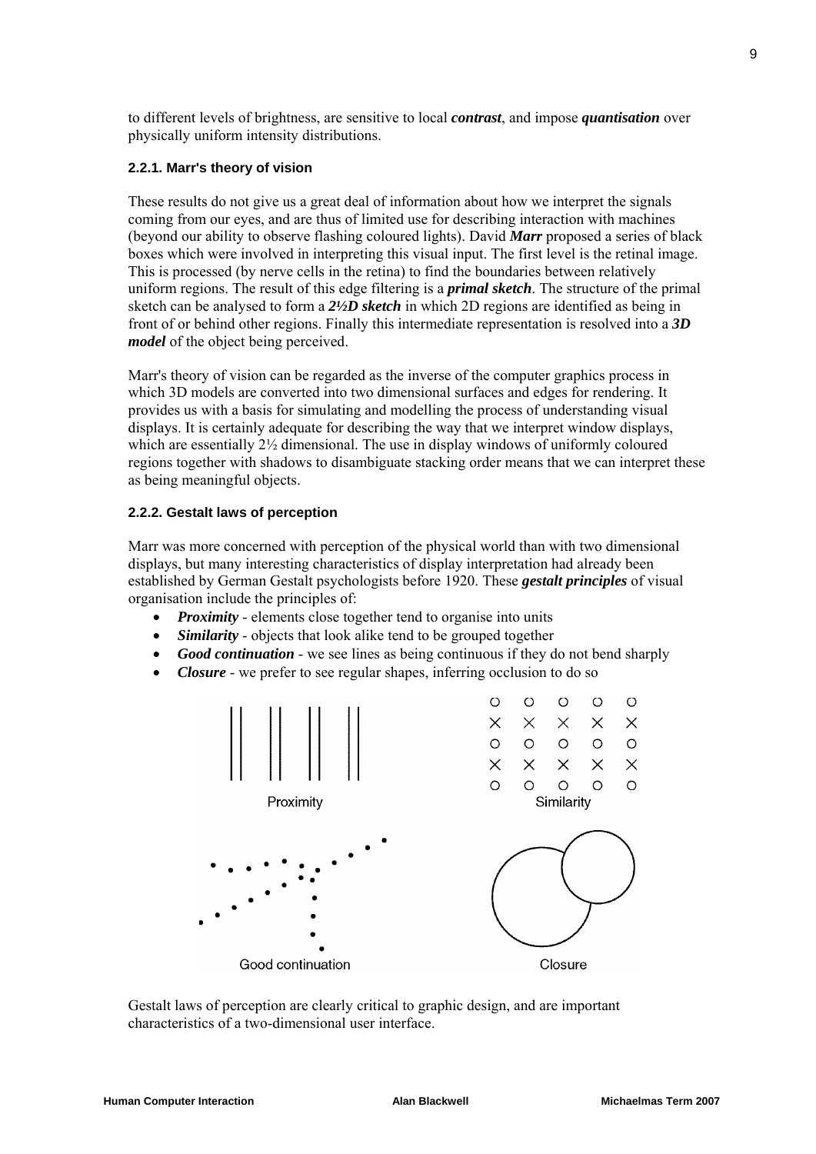to different levels of brightness, are sensitive to local *contrast*, and impose *quantisation* over physically uniform intensity distributions.

### **2.2.1. Marr's theory of vision**

These results do not give us a great deal of information about how we interpret the signals coming from our eyes, and are thus of limited use for describing interaction with machines (beyond our ability to observe flashing coloured lights). David *Marr* proposed a series of black boxes which were involved in interpreting this visual input. The first level is the retinal image. This is processed (by nerve cells in the retina) to find the boundaries between relatively uniform regions. The result of this edge filtering is a *primal sketch*. The structure of the primal sketch can be analysed to form a *2½D sketch* in which 2D regions are identified as being in front of or behind other regions. Finally this intermediate representation is resolved into a *3D model* of the object being perceived.

Marr's theory of vision can be regarded as the inverse of the computer graphics process in which 3D models are converted into two dimensional surfaces and edges for rendering. It provides us with a basis for simulating and modelling the process of understanding visual displays. It is certainly adequate for describing the way that we interpret window displays, which are essentially  $2\frac{1}{2}$  dimensional. The use in display windows of uniformly coloured regions together with shadows to disambiguate stacking order means that we can interpret these as being meaningful objects.

### **2.2.2. Gestalt laws of perception**

Marr was more concerned with perception of the physical world than with two dimensional displays, but many interesting characteristics of display interpretation had already been established by German Gestalt psychologists before 1920. These *gestalt principles* of visual organisation include the principles of:

- *Proximity* elements close together tend to organise into units
- *Similarity* objects that look alike tend to be grouped together
- *Good continuation* we see lines as being continuous if they do not bend sharply
- *Closure* we prefer to see regular shapes, inferring occlusion to do so



Gestalt laws of perception are clearly critical to graphic design, and are important characteristics of a two-dimensional user interface.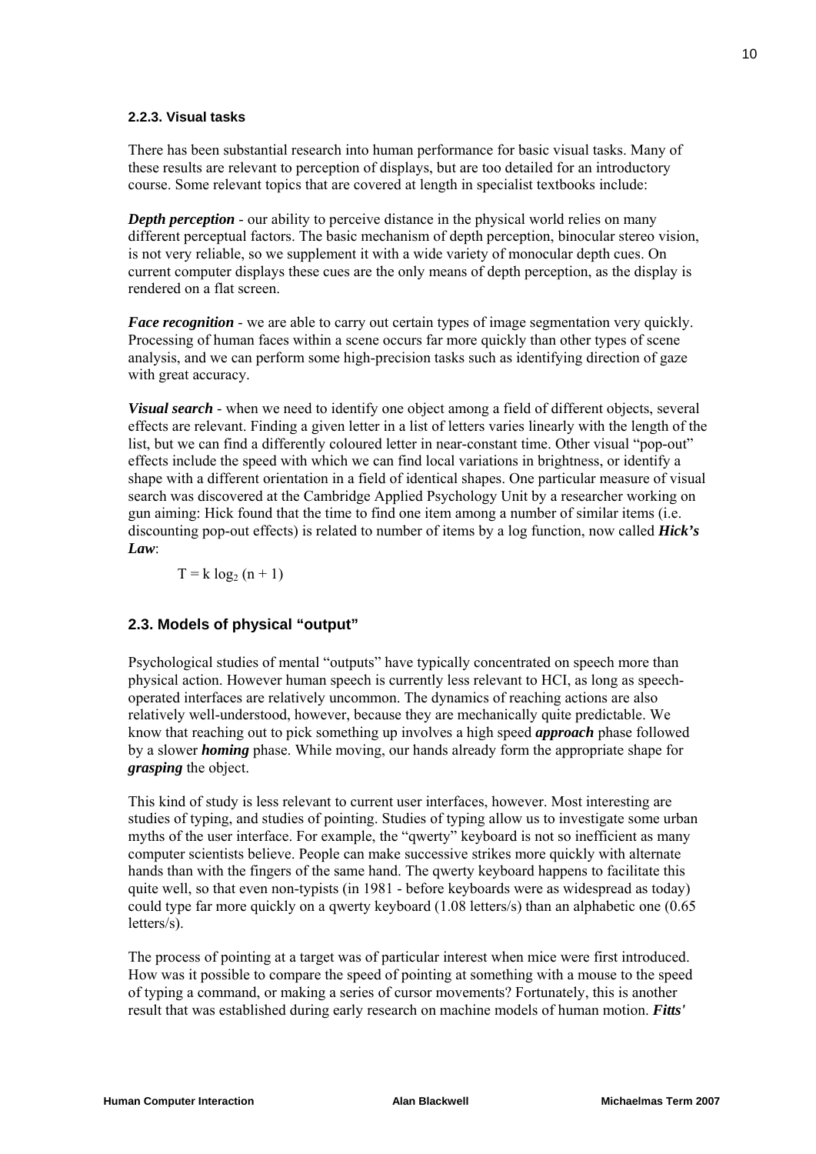# **2.2.3. Visual tasks**

There has been substantial research into human performance for basic visual tasks. Many of these results are relevant to perception of displays, but are too detailed for an introductory course. Some relevant topics that are covered at length in specialist textbooks include:

*Depth perception* - our ability to perceive distance in the physical world relies on many different perceptual factors. The basic mechanism of depth perception, binocular stereo vision, is not very reliable, so we supplement it with a wide variety of monocular depth cues. On current computer displays these cues are the only means of depth perception, as the display is rendered on a flat screen.

*Face recognition* - we are able to carry out certain types of image segmentation very quickly. Processing of human faces within a scene occurs far more quickly than other types of scene analysis, and we can perform some high-precision tasks such as identifying direction of gaze with great accuracy.

*Visual search* - when we need to identify one object among a field of different objects, several effects are relevant. Finding a given letter in a list of letters varies linearly with the length of the list, but we can find a differently coloured letter in near-constant time. Other visual "pop-out" effects include the speed with which we can find local variations in brightness, or identify a shape with a different orientation in a field of identical shapes. One particular measure of visual search was discovered at the Cambridge Applied Psychology Unit by a researcher working on gun aiming: Hick found that the time to find one item among a number of similar items (i.e. discounting pop-out effects) is related to number of items by a log function, now called *Hick's Law*:

 $T = k \log_2 (n + 1)$ 

# **2.3. Models of physical "output"**

Psychological studies of mental "outputs" have typically concentrated on speech more than physical action. However human speech is currently less relevant to HCI, as long as speechoperated interfaces are relatively uncommon. The dynamics of reaching actions are also relatively well-understood, however, because they are mechanically quite predictable. We know that reaching out to pick something up involves a high speed *approach* phase followed by a slower *homing* phase. While moving, our hands already form the appropriate shape for *grasping* the object.

This kind of study is less relevant to current user interfaces, however. Most interesting are studies of typing, and studies of pointing. Studies of typing allow us to investigate some urban myths of the user interface. For example, the "qwerty" keyboard is not so inefficient as many computer scientists believe. People can make successive strikes more quickly with alternate hands than with the fingers of the same hand. The qwerty keyboard happens to facilitate this quite well, so that even non-typists (in 1981 - before keyboards were as widespread as today) could type far more quickly on a qwerty keyboard (1.08 letters/s) than an alphabetic one (0.65 letters/s).

The process of pointing at a target was of particular interest when mice were first introduced. How was it possible to compare the speed of pointing at something with a mouse to the speed of typing a command, or making a series of cursor movements? Fortunately, this is another result that was established during early research on machine models of human motion. *Fitts'*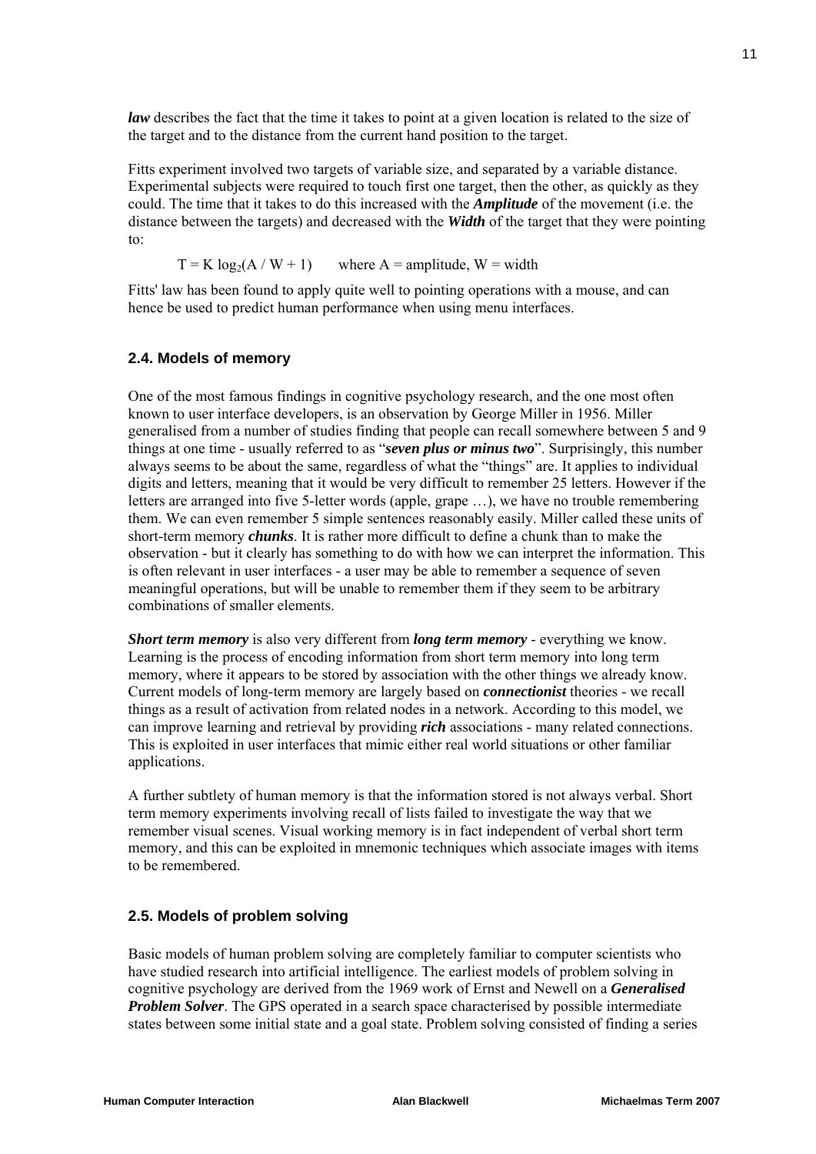*law* describes the fact that the time it takes to point at a given location is related to the size of the target and to the distance from the current hand position to the target.

Fitts experiment involved two targets of variable size, and separated by a variable distance. Experimental subjects were required to touch first one target, then the other, as quickly as they could. The time that it takes to do this increased with the *Amplitude* of the movement (i.e. the distance between the targets) and decreased with the *Width* of the target that they were pointing to:

 $T = K \log_2(A/W + 1)$  where A = amplitude, W = width

Fitts' law has been found to apply quite well to pointing operations with a mouse, and can hence be used to predict human performance when using menu interfaces.

# **2.4. Models of memory**

One of the most famous findings in cognitive psychology research, and the one most often known to user interface developers, is an observation by George Miller in 1956. Miller generalised from a number of studies finding that people can recall somewhere between 5 and 9 things at one time - usually referred to as "*seven plus or minus two*". Surprisingly, this number always seems to be about the same, regardless of what the "things" are. It applies to individual digits and letters, meaning that it would be very difficult to remember 25 letters. However if the letters are arranged into five 5-letter words (apple, grape …), we have no trouble remembering them. We can even remember 5 simple sentences reasonably easily. Miller called these units of short-term memory *chunks*. It is rather more difficult to define a chunk than to make the observation - but it clearly has something to do with how we can interpret the information. This is often relevant in user interfaces - a user may be able to remember a sequence of seven meaningful operations, but will be unable to remember them if they seem to be arbitrary combinations of smaller elements.

*Short term memory* is also very different from *long term memory* - everything we know. Learning is the process of encoding information from short term memory into long term memory, where it appears to be stored by association with the other things we already know. Current models of long-term memory are largely based on *connectionist* theories - we recall things as a result of activation from related nodes in a network. According to this model, we can improve learning and retrieval by providing *rich* associations - many related connections. This is exploited in user interfaces that mimic either real world situations or other familiar applications.

A further subtlety of human memory is that the information stored is not always verbal. Short term memory experiments involving recall of lists failed to investigate the way that we remember visual scenes. Visual working memory is in fact independent of verbal short term memory, and this can be exploited in mnemonic techniques which associate images with items to be remembered.

# **2.5. Models of problem solving**

Basic models of human problem solving are completely familiar to computer scientists who have studied research into artificial intelligence. The earliest models of problem solving in cognitive psychology are derived from the 1969 work of Ernst and Newell on a *Generalised Problem Solver*. The GPS operated in a search space characterised by possible intermediate states between some initial state and a goal state. Problem solving consisted of finding a series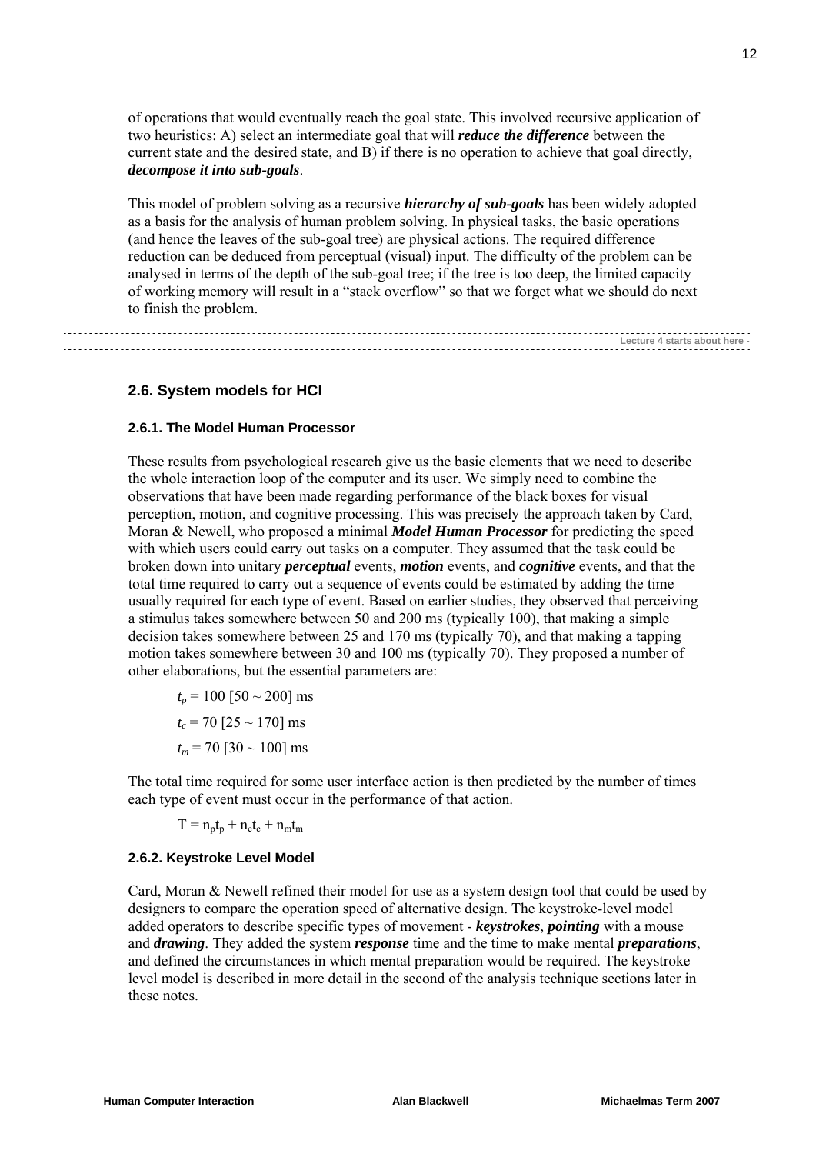of operations that would eventually reach the goal state. This involved recursive application of two heuristics: A) select an intermediate goal that will *reduce the difference* between the current state and the desired state, and B) if there is no operation to achieve that goal directly, *decompose it into sub-goals*.

This model of problem solving as a recursive *hierarchy of sub-goals* has been widely adopted as a basis for the analysis of human problem solving. In physical tasks, the basic operations (and hence the leaves of the sub-goal tree) are physical actions. The required difference reduction can be deduced from perceptual (visual) input. The difficulty of the problem can be analysed in terms of the depth of the sub-goal tree; if the tree is too deep, the limited capacity of working memory will result in a "stack overflow" so that we forget what we should do next to finish the problem.

**Lecture 4 starts about here -** 

### **2.6. System models for HCI**

### **2.6.1. The Model Human Processor**

These results from psychological research give us the basic elements that we need to describe the whole interaction loop of the computer and its user. We simply need to combine the observations that have been made regarding performance of the black boxes for visual perception, motion, and cognitive processing. This was precisely the approach taken by Card, Moran & Newell, who proposed a minimal *Model Human Processor* for predicting the speed with which users could carry out tasks on a computer. They assumed that the task could be broken down into unitary *perceptual* events, *motion* events, and *cognitive* events, and that the total time required to carry out a sequence of events could be estimated by adding the time usually required for each type of event. Based on earlier studies, they observed that perceiving a stimulus takes somewhere between 50 and 200 ms (typically 100), that making a simple decision takes somewhere between 25 and 170 ms (typically 70), and that making a tapping motion takes somewhere between 30 and 100 ms (typically 70). They proposed a number of other elaborations, but the essential parameters are:

 $t_p = 100$  [50 ~ 200] ms  $t_c$  = 70 [25  $\sim$  170] ms  $t_m$  = 70 [30  $\sim$  100] ms

The total time required for some user interface action is then predicted by the number of times each type of event must occur in the performance of that action.

 $T = n_p t_p + n_c t_c + n_m t_m$ 

### **2.6.2. Keystroke Level Model**

Card, Moran & Newell refined their model for use as a system design tool that could be used by designers to compare the operation speed of alternative design. The keystroke-level model added operators to describe specific types of movement - *keystrokes*, *pointing* with a mouse and *drawing*. They added the system *response* time and the time to make mental *preparations*, and defined the circumstances in which mental preparation would be required. The keystroke level model is described in more detail in the second of the analysis technique sections later in these notes.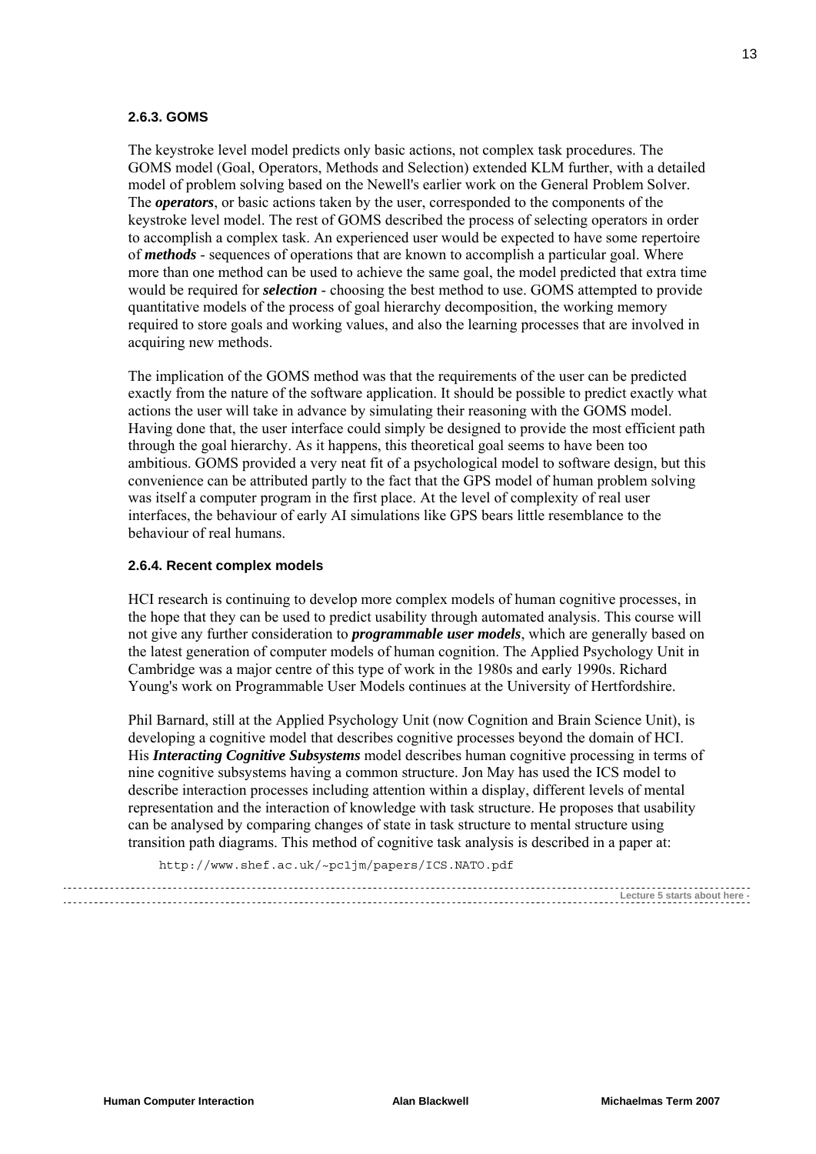# **2.6.3. GOMS**

The keystroke level model predicts only basic actions, not complex task procedures. The GOMS model (Goal, Operators, Methods and Selection) extended KLM further, with a detailed model of problem solving based on the Newell's earlier work on the General Problem Solver. The *operators*, or basic actions taken by the user, corresponded to the components of the keystroke level model. The rest of GOMS described the process of selecting operators in order to accomplish a complex task. An experienced user would be expected to have some repertoire of *methods* - sequences of operations that are known to accomplish a particular goal. Where more than one method can be used to achieve the same goal, the model predicted that extra time would be required for *selection* - choosing the best method to use. GOMS attempted to provide quantitative models of the process of goal hierarchy decomposition, the working memory required to store goals and working values, and also the learning processes that are involved in acquiring new methods.

The implication of the GOMS method was that the requirements of the user can be predicted exactly from the nature of the software application. It should be possible to predict exactly what actions the user will take in advance by simulating their reasoning with the GOMS model. Having done that, the user interface could simply be designed to provide the most efficient path through the goal hierarchy. As it happens, this theoretical goal seems to have been too ambitious. GOMS provided a very neat fit of a psychological model to software design, but this convenience can be attributed partly to the fact that the GPS model of human problem solving was itself a computer program in the first place. At the level of complexity of real user interfaces, the behaviour of early AI simulations like GPS bears little resemblance to the behaviour of real humans.

### **2.6.4. Recent complex models**

HCI research is continuing to develop more complex models of human cognitive processes, in the hope that they can be used to predict usability through automated analysis. This course will not give any further consideration to *programmable user models*, which are generally based on the latest generation of computer models of human cognition. The Applied Psychology Unit in Cambridge was a major centre of this type of work in the 1980s and early 1990s. Richard Young's work on Programmable User Models continues at the University of Hertfordshire.

Phil Barnard, still at the Applied Psychology Unit (now Cognition and Brain Science Unit), is developing a cognitive model that describes cognitive processes beyond the domain of HCI. His *Interacting Cognitive Subsystems* model describes human cognitive processing in terms of nine cognitive subsystems having a common structure. Jon May has used the ICS model to describe interaction processes including attention within a display, different levels of mental representation and the interaction of knowledge with task structure. He proposes that usability can be analysed by comparing changes of state in task structure to mental structure using transition path diagrams. This method of cognitive task analysis is described in a paper at:

**Lecture 5 starts about here -** 

http://www.shef.ac.uk/~pc1jm/papers/ICS.NATO.pdf

**Human Computer Interaction Alan Blackwell Michaelmas Term 2007**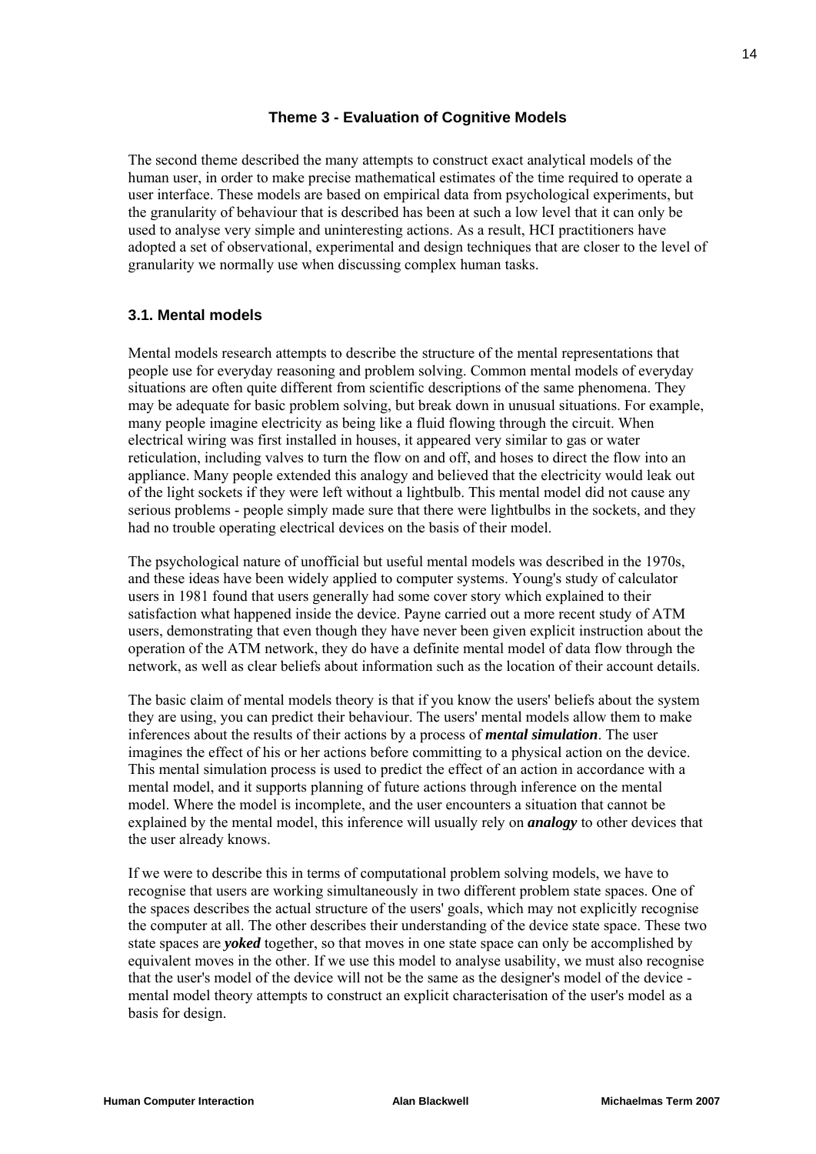# **Theme 3 - Evaluation of Cognitive Models**

The second theme described the many attempts to construct exact analytical models of the human user, in order to make precise mathematical estimates of the time required to operate a user interface. These models are based on empirical data from psychological experiments, but the granularity of behaviour that is described has been at such a low level that it can only be used to analyse very simple and uninteresting actions. As a result, HCI practitioners have adopted a set of observational, experimental and design techniques that are closer to the level of granularity we normally use when discussing complex human tasks.

# **3.1. Mental models**

Mental models research attempts to describe the structure of the mental representations that people use for everyday reasoning and problem solving. Common mental models of everyday situations are often quite different from scientific descriptions of the same phenomena. They may be adequate for basic problem solving, but break down in unusual situations. For example, many people imagine electricity as being like a fluid flowing through the circuit. When electrical wiring was first installed in houses, it appeared very similar to gas or water reticulation, including valves to turn the flow on and off, and hoses to direct the flow into an appliance. Many people extended this analogy and believed that the electricity would leak out of the light sockets if they were left without a lightbulb. This mental model did not cause any serious problems - people simply made sure that there were lightbulbs in the sockets, and they had no trouble operating electrical devices on the basis of their model.

The psychological nature of unofficial but useful mental models was described in the 1970s, and these ideas have been widely applied to computer systems. Young's study of calculator users in 1981 found that users generally had some cover story which explained to their satisfaction what happened inside the device. Payne carried out a more recent study of ATM users, demonstrating that even though they have never been given explicit instruction about the operation of the ATM network, they do have a definite mental model of data flow through the network, as well as clear beliefs about information such as the location of their account details.

The basic claim of mental models theory is that if you know the users' beliefs about the system they are using, you can predict their behaviour. The users' mental models allow them to make inferences about the results of their actions by a process of *mental simulation*. The user imagines the effect of his or her actions before committing to a physical action on the device. This mental simulation process is used to predict the effect of an action in accordance with a mental model, and it supports planning of future actions through inference on the mental model. Where the model is incomplete, and the user encounters a situation that cannot be explained by the mental model, this inference will usually rely on *analogy* to other devices that the user already knows.

If we were to describe this in terms of computational problem solving models, we have to recognise that users are working simultaneously in two different problem state spaces. One of the spaces describes the actual structure of the users' goals, which may not explicitly recognise the computer at all. The other describes their understanding of the device state space. These two state spaces are *yoked* together, so that moves in one state space can only be accomplished by equivalent moves in the other. If we use this model to analyse usability, we must also recognise that the user's model of the device will not be the same as the designer's model of the device mental model theory attempts to construct an explicit characterisation of the user's model as a basis for design.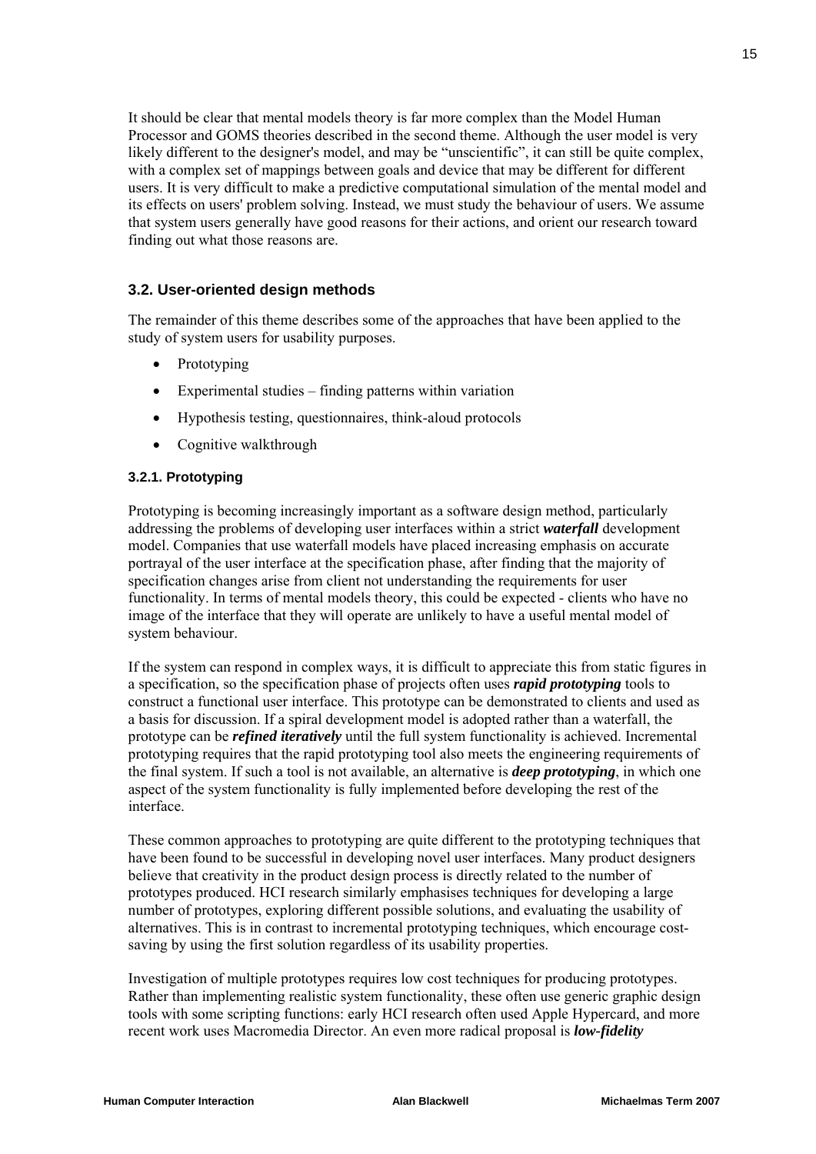It should be clear that mental models theory is far more complex than the Model Human Processor and GOMS theories described in the second theme. Although the user model is very likely different to the designer's model, and may be "unscientific", it can still be quite complex, with a complex set of mappings between goals and device that may be different for different users. It is very difficult to make a predictive computational simulation of the mental model and its effects on users' problem solving. Instead, we must study the behaviour of users. We assume that system users generally have good reasons for their actions, and orient our research toward finding out what those reasons are.

# **3.2. User-oriented design methods**

The remainder of this theme describes some of the approaches that have been applied to the study of system users for usability purposes.

- Prototyping
- Experimental studies finding patterns within variation
- Hypothesis testing, questionnaires, think-aloud protocols
- Cognitive walkthrough

# **3.2.1. Prototyping**

Prototyping is becoming increasingly important as a software design method, particularly addressing the problems of developing user interfaces within a strict *waterfall* development model. Companies that use waterfall models have placed increasing emphasis on accurate portrayal of the user interface at the specification phase, after finding that the majority of specification changes arise from client not understanding the requirements for user functionality. In terms of mental models theory, this could be expected - clients who have no image of the interface that they will operate are unlikely to have a useful mental model of system behaviour.

If the system can respond in complex ways, it is difficult to appreciate this from static figures in a specification, so the specification phase of projects often uses *rapid prototyping* tools to construct a functional user interface. This prototype can be demonstrated to clients and used as a basis for discussion. If a spiral development model is adopted rather than a waterfall, the prototype can be *refined iteratively* until the full system functionality is achieved. Incremental prototyping requires that the rapid prototyping tool also meets the engineering requirements of the final system. If such a tool is not available, an alternative is *deep prototyping*, in which one aspect of the system functionality is fully implemented before developing the rest of the interface.

These common approaches to prototyping are quite different to the prototyping techniques that have been found to be successful in developing novel user interfaces. Many product designers believe that creativity in the product design process is directly related to the number of prototypes produced. HCI research similarly emphasises techniques for developing a large number of prototypes, exploring different possible solutions, and evaluating the usability of alternatives. This is in contrast to incremental prototyping techniques, which encourage costsaving by using the first solution regardless of its usability properties.

Investigation of multiple prototypes requires low cost techniques for producing prototypes. Rather than implementing realistic system functionality, these often use generic graphic design tools with some scripting functions: early HCI research often used Apple Hypercard, and more recent work uses Macromedia Director. An even more radical proposal is *low-fidelity*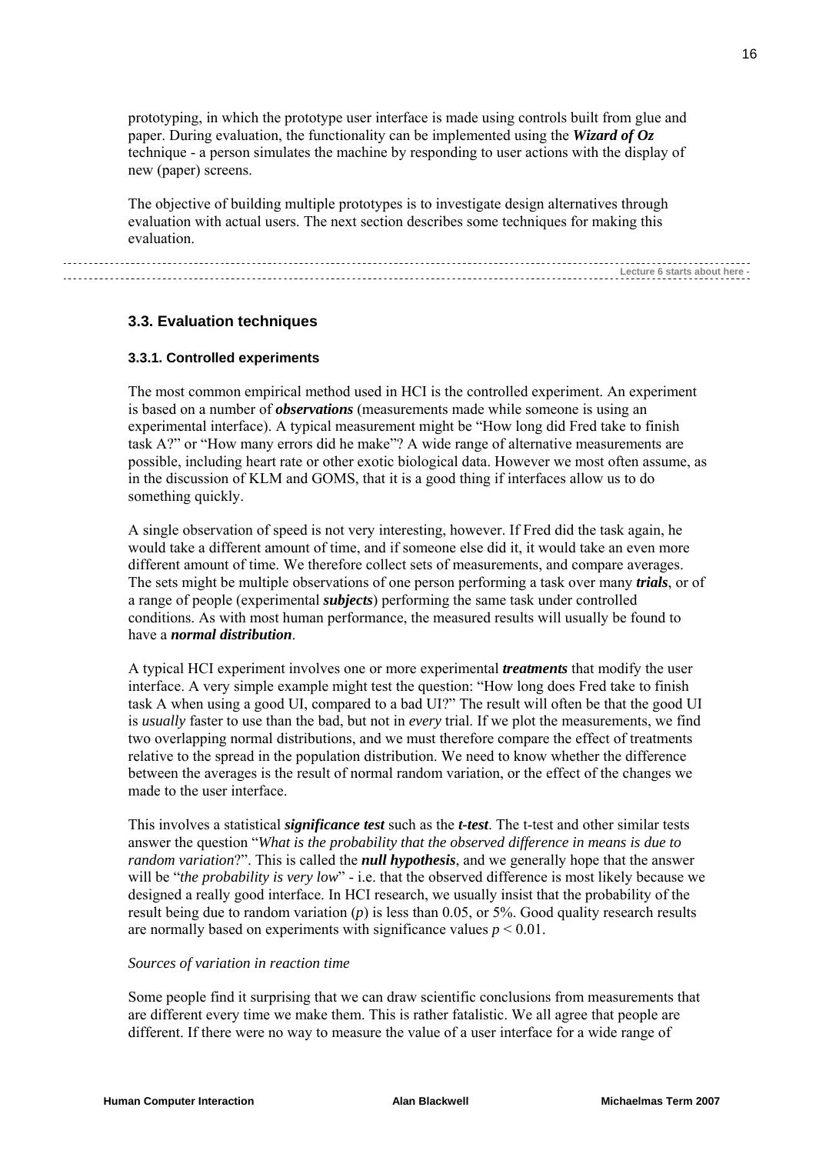prototyping, in which the prototype user interface is made using controls built from glue and paper. During evaluation, the functionality can be implemented using the *Wizard of Oz* technique - a person simulates the machine by responding to user actions with the display of new (paper) screens.

The objective of building multiple prototypes is to investigate design alternatives through evaluation with actual users. The next section describes some techniques for making this evaluation.

**Lecture 6 starts about here -** 

# **3.3. Evaluation techniques**

### **3.3.1. Controlled experiments**

The most common empirical method used in HCI is the controlled experiment. An experiment is based on a number of *observations* (measurements made while someone is using an experimental interface). A typical measurement might be "How long did Fred take to finish task A?" or "How many errors did he make"? A wide range of alternative measurements are possible, including heart rate or other exotic biological data. However we most often assume, as in the discussion of KLM and GOMS, that it is a good thing if interfaces allow us to do something quickly.

A single observation of speed is not very interesting, however. If Fred did the task again, he would take a different amount of time, and if someone else did it, it would take an even more different amount of time. We therefore collect sets of measurements, and compare averages. The sets might be multiple observations of one person performing a task over many *trials*, or of a range of people (experimental *subjects*) performing the same task under controlled conditions. As with most human performance, the measured results will usually be found to have a *normal distribution*.

A typical HCI experiment involves one or more experimental *treatments* that modify the user interface. A very simple example might test the question: "How long does Fred take to finish task A when using a good UI, compared to a bad UI?" The result will often be that the good UI is *usually* faster to use than the bad, but not in *every* trial. If we plot the measurements, we find two overlapping normal distributions, and we must therefore compare the effect of treatments relative to the spread in the population distribution. We need to know whether the difference between the averages is the result of normal random variation, or the effect of the changes we made to the user interface.

This involves a statistical *significance test* such as the *t-test*. The t-test and other similar tests answer the question "*What is the probability that the observed difference in means is due to random variation*?". This is called the *null hypothesis*, and we generally hope that the answer will be "*the probability is very low*" - i.e. that the observed difference is most likely because we designed a really good interface. In HCI research, we usually insist that the probability of the result being due to random variation (*p*) is less than 0.05, or 5%. Good quality research results are normally based on experiments with significance values  $p \leq 0.01$ .

### *Sources of variation in reaction time*

Some people find it surprising that we can draw scientific conclusions from measurements that are different every time we make them. This is rather fatalistic. We all agree that people are different. If there were no way to measure the value of a user interface for a wide range of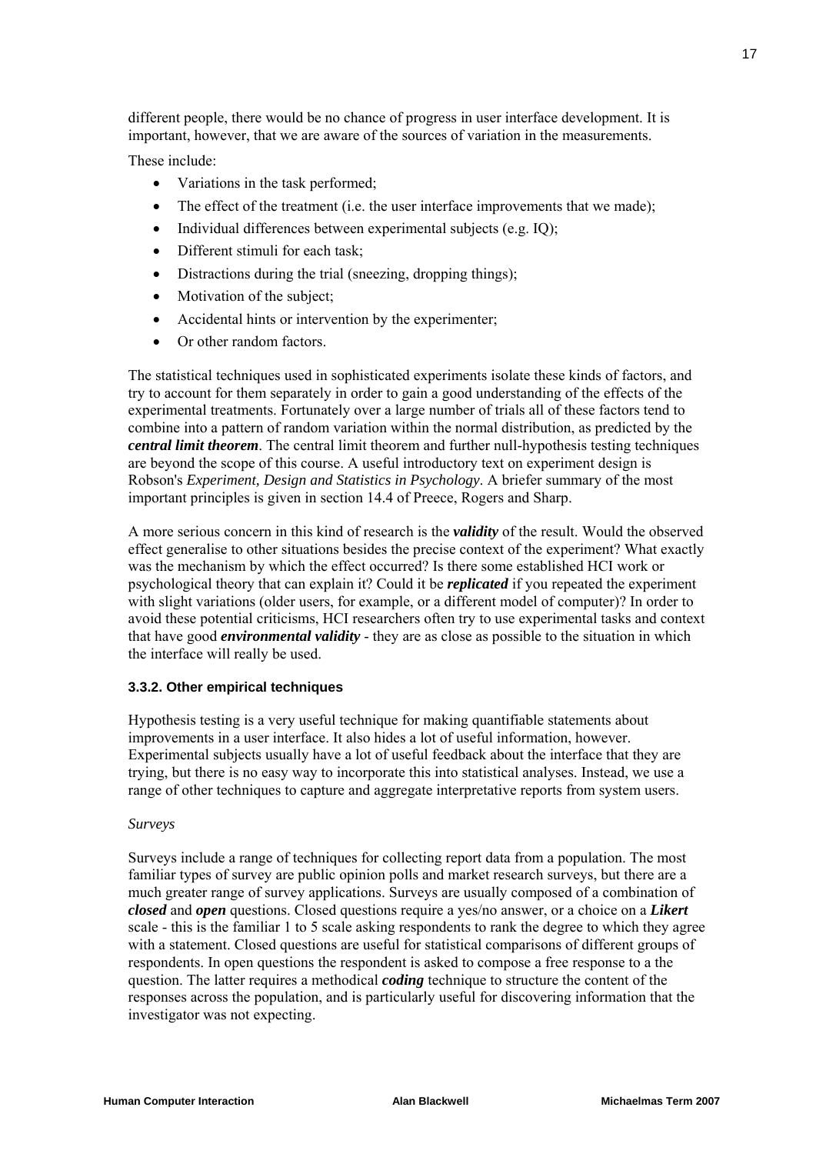different people, there would be no chance of progress in user interface development. It is important, however, that we are aware of the sources of variation in the measurements.

These include:

- Variations in the task performed;
- The effect of the treatment (i.e. the user interface improvements that we made):
- Individual differences between experimental subjects (e.g. IQ);
- Different stimuli for each task:
- Distractions during the trial (sneezing, dropping things);
- Motivation of the subject:
- Accidental hints or intervention by the experimenter;
- Or other random factors.

The statistical techniques used in sophisticated experiments isolate these kinds of factors, and try to account for them separately in order to gain a good understanding of the effects of the experimental treatments. Fortunately over a large number of trials all of these factors tend to combine into a pattern of random variation within the normal distribution, as predicted by the *central limit theorem*. The central limit theorem and further null-hypothesis testing techniques are beyond the scope of this course. A useful introductory text on experiment design is Robson's *Experiment, Design and Statistics in Psychology*. A briefer summary of the most important principles is given in section 14.4 of Preece, Rogers and Sharp.

A more serious concern in this kind of research is the *validity* of the result. Would the observed effect generalise to other situations besides the precise context of the experiment? What exactly was the mechanism by which the effect occurred? Is there some established HCI work or psychological theory that can explain it? Could it be *replicated* if you repeated the experiment with slight variations (older users, for example, or a different model of computer)? In order to avoid these potential criticisms, HCI researchers often try to use experimental tasks and context that have good *environmental validity* - they are as close as possible to the situation in which the interface will really be used.

# **3.3.2. Other empirical techniques**

Hypothesis testing is a very useful technique for making quantifiable statements about improvements in a user interface. It also hides a lot of useful information, however. Experimental subjects usually have a lot of useful feedback about the interface that they are trying, but there is no easy way to incorporate this into statistical analyses. Instead, we use a range of other techniques to capture and aggregate interpretative reports from system users.

### *Surveys*

Surveys include a range of techniques for collecting report data from a population. The most familiar types of survey are public opinion polls and market research surveys, but there are a much greater range of survey applications. Surveys are usually composed of a combination of *closed* and *open* questions. Closed questions require a yes/no answer, or a choice on a *Likert* scale - this is the familiar 1 to 5 scale asking respondents to rank the degree to which they agree with a statement. Closed questions are useful for statistical comparisons of different groups of respondents. In open questions the respondent is asked to compose a free response to a the question. The latter requires a methodical *coding* technique to structure the content of the responses across the population, and is particularly useful for discovering information that the investigator was not expecting.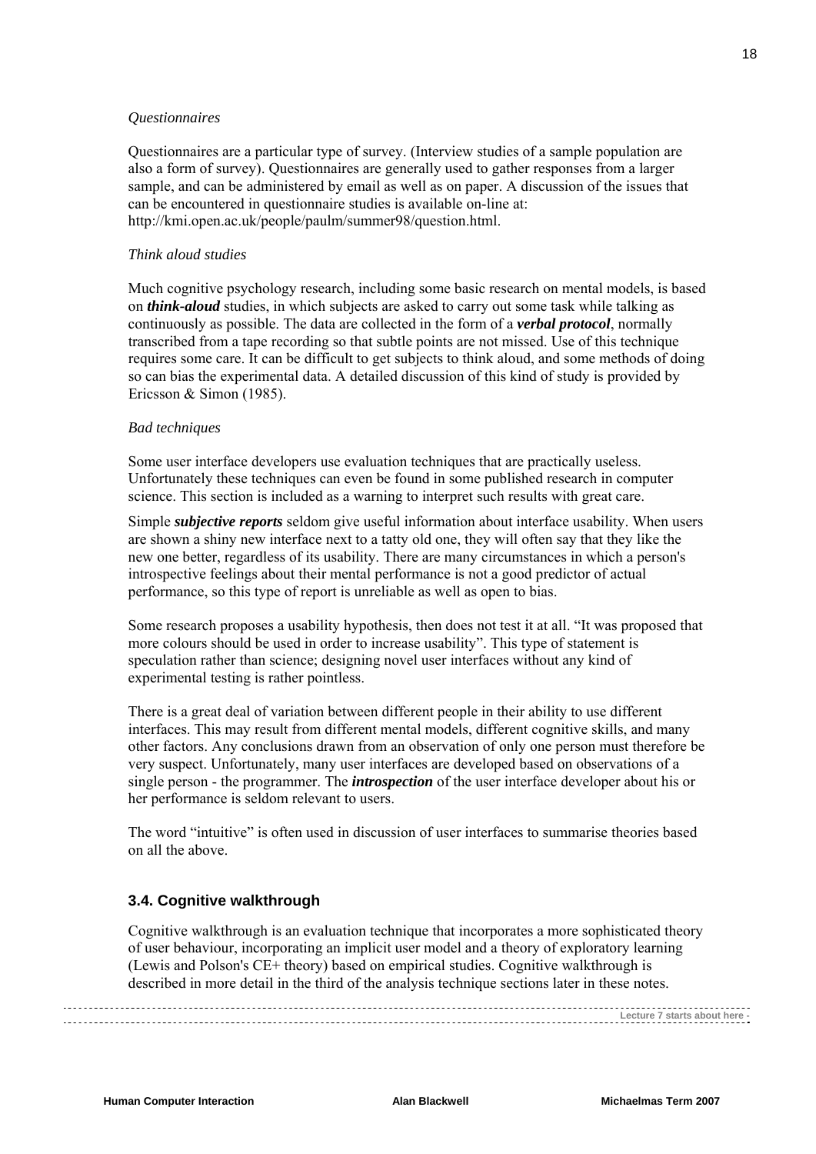### *Questionnaires*

Questionnaires are a particular type of survey. (Interview studies of a sample population are also a form of survey). Questionnaires are generally used to gather responses from a larger sample, and can be administered by email as well as on paper. A discussion of the issues that can be encountered in questionnaire studies is available on-line at: http://kmi.open.ac.uk/people/paulm/summer98/question.html.

# *Think aloud studies*

Much cognitive psychology research, including some basic research on mental models, is based on *think-aloud* studies, in which subjects are asked to carry out some task while talking as continuously as possible. The data are collected in the form of a *verbal protocol*, normally transcribed from a tape recording so that subtle points are not missed. Use of this technique requires some care. It can be difficult to get subjects to think aloud, and some methods of doing so can bias the experimental data. A detailed discussion of this kind of study is provided by Ericsson & Simon (1985).

### *Bad techniques*

Some user interface developers use evaluation techniques that are practically useless. Unfortunately these techniques can even be found in some published research in computer science. This section is included as a warning to interpret such results with great care.

Simple *subjective reports* seldom give useful information about interface usability. When users are shown a shiny new interface next to a tatty old one, they will often say that they like the new one better, regardless of its usability. There are many circumstances in which a person's introspective feelings about their mental performance is not a good predictor of actual performance, so this type of report is unreliable as well as open to bias.

Some research proposes a usability hypothesis, then does not test it at all. "It was proposed that more colours should be used in order to increase usability". This type of statement is speculation rather than science; designing novel user interfaces without any kind of experimental testing is rather pointless.

There is a great deal of variation between different people in their ability to use different interfaces. This may result from different mental models, different cognitive skills, and many other factors. Any conclusions drawn from an observation of only one person must therefore be very suspect. Unfortunately, many user interfaces are developed based on observations of a single person - the programmer. The *introspection* of the user interface developer about his or her performance is seldom relevant to users.

The word "intuitive" is often used in discussion of user interfaces to summarise theories based on all the above.

# **3.4. Cognitive walkthrough**

Cognitive walkthrough is an evaluation technique that incorporates a more sophisticated theory of user behaviour, incorporating an implicit user model and a theory of exploratory learning (Lewis and Polson's CE+ theory) based on empirical studies. Cognitive walkthrough is described in more detail in the third of the analysis technique sections later in these notes.

**Lecture 7 starts about here -**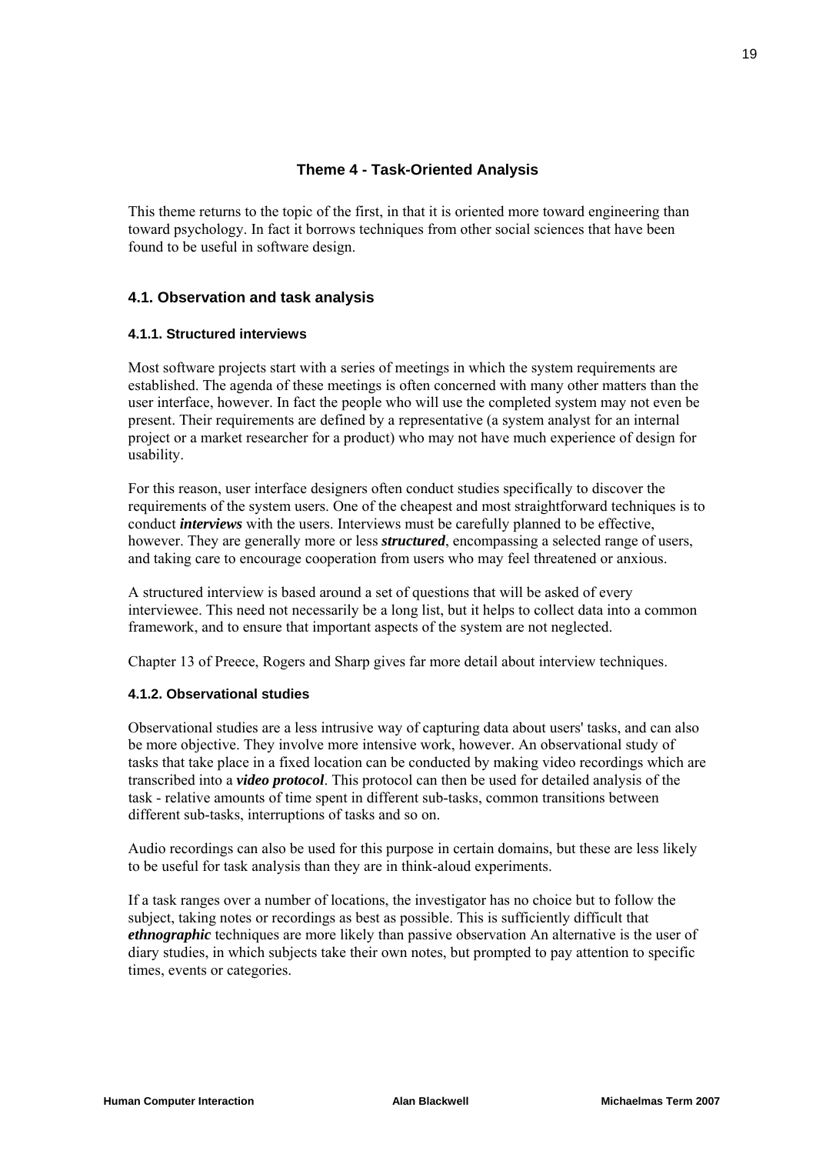# **Theme 4 - Task-Oriented Analysis**

This theme returns to the topic of the first, in that it is oriented more toward engineering than toward psychology. In fact it borrows techniques from other social sciences that have been found to be useful in software design.

# **4.1. Observation and task analysis**

### **4.1.1. Structured interviews**

Most software projects start with a series of meetings in which the system requirements are established. The agenda of these meetings is often concerned with many other matters than the user interface, however. In fact the people who will use the completed system may not even be present. Their requirements are defined by a representative (a system analyst for an internal project or a market researcher for a product) who may not have much experience of design for usability.

For this reason, user interface designers often conduct studies specifically to discover the requirements of the system users. One of the cheapest and most straightforward techniques is to conduct *interviews* with the users. Interviews must be carefully planned to be effective, however. They are generally more or less *structured*, encompassing a selected range of users, and taking care to encourage cooperation from users who may feel threatened or anxious.

A structured interview is based around a set of questions that will be asked of every interviewee. This need not necessarily be a long list, but it helps to collect data into a common framework, and to ensure that important aspects of the system are not neglected.

Chapter 13 of Preece, Rogers and Sharp gives far more detail about interview techniques.

# **4.1.2. Observational studies**

Observational studies are a less intrusive way of capturing data about users' tasks, and can also be more objective. They involve more intensive work, however. An observational study of tasks that take place in a fixed location can be conducted by making video recordings which are transcribed into a *video protocol*. This protocol can then be used for detailed analysis of the task - relative amounts of time spent in different sub-tasks, common transitions between different sub-tasks, interruptions of tasks and so on.

Audio recordings can also be used for this purpose in certain domains, but these are less likely to be useful for task analysis than they are in think-aloud experiments.

If a task ranges over a number of locations, the investigator has no choice but to follow the subject, taking notes or recordings as best as possible. This is sufficiently difficult that *ethnographic* techniques are more likely than passive observation An alternative is the user of diary studies, in which subjects take their own notes, but prompted to pay attention to specific times, events or categories.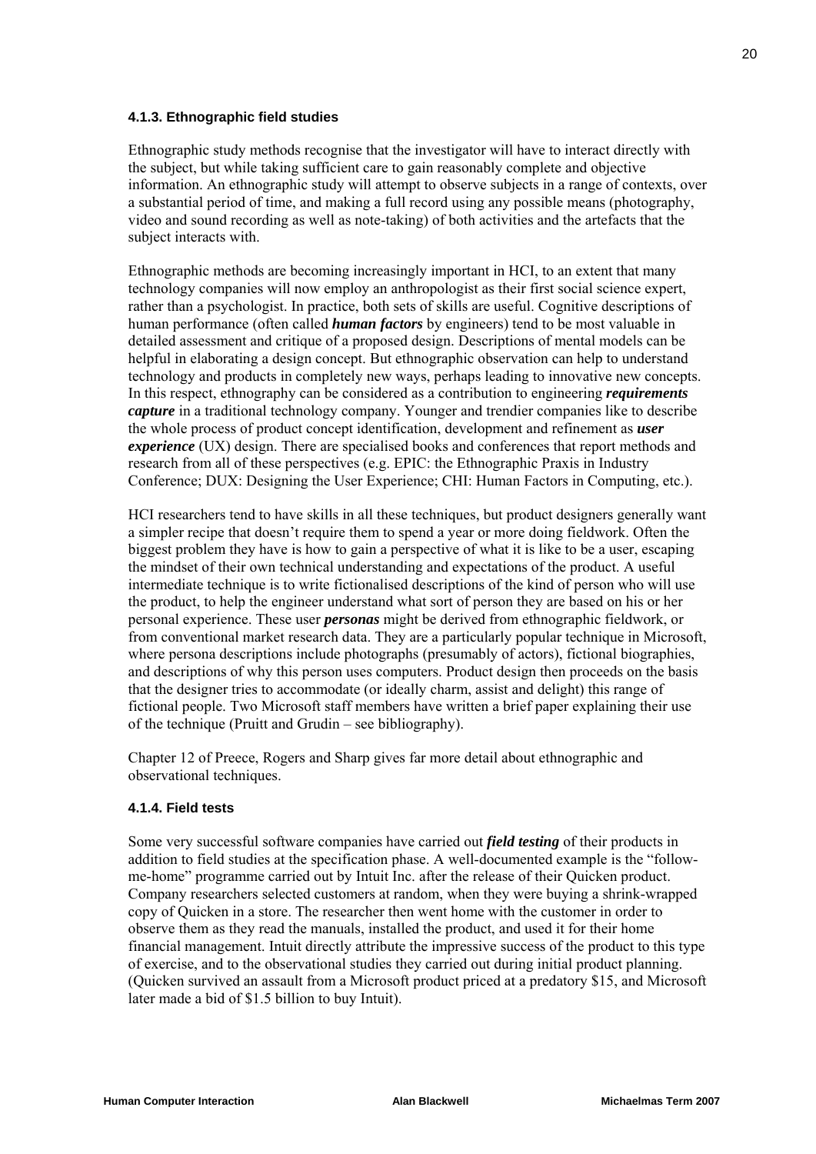# **4.1.3. Ethnographic field studies**

Ethnographic study methods recognise that the investigator will have to interact directly with the subject, but while taking sufficient care to gain reasonably complete and objective information. An ethnographic study will attempt to observe subjects in a range of contexts, over a substantial period of time, and making a full record using any possible means (photography, video and sound recording as well as note-taking) of both activities and the artefacts that the subject interacts with.

Ethnographic methods are becoming increasingly important in HCI, to an extent that many technology companies will now employ an anthropologist as their first social science expert, rather than a psychologist. In practice, both sets of skills are useful. Cognitive descriptions of human performance (often called *human factors* by engineers) tend to be most valuable in detailed assessment and critique of a proposed design. Descriptions of mental models can be helpful in elaborating a design concept. But ethnographic observation can help to understand technology and products in completely new ways, perhaps leading to innovative new concepts. In this respect, ethnography can be considered as a contribution to engineering *requirements capture* in a traditional technology company. Younger and trendier companies like to describe the whole process of product concept identification, development and refinement as *user experience* (UX) design. There are specialised books and conferences that report methods and research from all of these perspectives (e.g. EPIC: the Ethnographic Praxis in Industry Conference; DUX: Designing the User Experience; CHI: Human Factors in Computing, etc.).

HCI researchers tend to have skills in all these techniques, but product designers generally want a simpler recipe that doesn't require them to spend a year or more doing fieldwork. Often the biggest problem they have is how to gain a perspective of what it is like to be a user, escaping the mindset of their own technical understanding and expectations of the product. A useful intermediate technique is to write fictionalised descriptions of the kind of person who will use the product, to help the engineer understand what sort of person they are based on his or her personal experience. These user *personas* might be derived from ethnographic fieldwork, or from conventional market research data. They are a particularly popular technique in Microsoft, where persona descriptions include photographs (presumably of actors), fictional biographies, and descriptions of why this person uses computers. Product design then proceeds on the basis that the designer tries to accommodate (or ideally charm, assist and delight) this range of fictional people. Two Microsoft staff members have written a brief paper explaining their use of the technique (Pruitt and Grudin – see bibliography).

Chapter 12 of Preece, Rogers and Sharp gives far more detail about ethnographic and observational techniques.

### **4.1.4. Field tests**

Some very successful software companies have carried out *field testing* of their products in addition to field studies at the specification phase. A well-documented example is the "followme-home" programme carried out by Intuit Inc. after the release of their Quicken product. Company researchers selected customers at random, when they were buying a shrink-wrapped copy of Quicken in a store. The researcher then went home with the customer in order to observe them as they read the manuals, installed the product, and used it for their home financial management. Intuit directly attribute the impressive success of the product to this type of exercise, and to the observational studies they carried out during initial product planning. (Quicken survived an assault from a Microsoft product priced at a predatory \$15, and Microsoft later made a bid of \$1.5 billion to buy Intuit).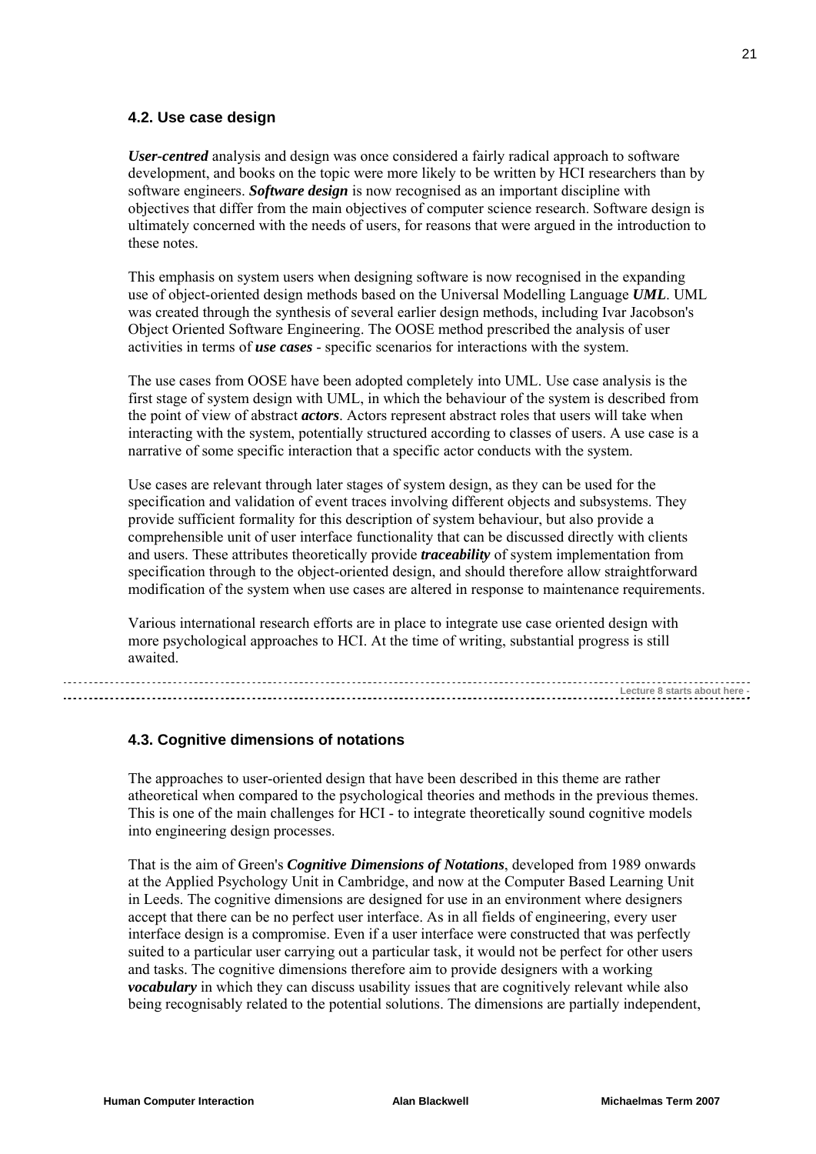# **4.2. Use case design**

*User-centred* analysis and design was once considered a fairly radical approach to software development, and books on the topic were more likely to be written by HCI researchers than by software engineers. *Software design* is now recognised as an important discipline with objectives that differ from the main objectives of computer science research. Software design is ultimately concerned with the needs of users, for reasons that were argued in the introduction to these notes.

This emphasis on system users when designing software is now recognised in the expanding use of object-oriented design methods based on the Universal Modelling Language *UML*. UML was created through the synthesis of several earlier design methods, including Ivar Jacobson's Object Oriented Software Engineering. The OOSE method prescribed the analysis of user activities in terms of *use cases* - specific scenarios for interactions with the system.

The use cases from OOSE have been adopted completely into UML. Use case analysis is the first stage of system design with UML, in which the behaviour of the system is described from the point of view of abstract *actors*. Actors represent abstract roles that users will take when interacting with the system, potentially structured according to classes of users. A use case is a narrative of some specific interaction that a specific actor conducts with the system.

Use cases are relevant through later stages of system design, as they can be used for the specification and validation of event traces involving different objects and subsystems. They provide sufficient formality for this description of system behaviour, but also provide a comprehensible unit of user interface functionality that can be discussed directly with clients and users. These attributes theoretically provide *traceability* of system implementation from specification through to the object-oriented design, and should therefore allow straightforward modification of the system when use cases are altered in response to maintenance requirements.

Various international research efforts are in place to integrate use case oriented design with more psychological approaches to HCI. At the time of writing, substantial progress is still awaited.

**Lecture 8 starts about here -** 

# **4.3. Cognitive dimensions of notations**

The approaches to user-oriented design that have been described in this theme are rather atheoretical when compared to the psychological theories and methods in the previous themes. This is one of the main challenges for HCI - to integrate theoretically sound cognitive models into engineering design processes.

That is the aim of Green's *Cognitive Dimensions of Notations*, developed from 1989 onwards at the Applied Psychology Unit in Cambridge, and now at the Computer Based Learning Unit in Leeds. The cognitive dimensions are designed for use in an environment where designers accept that there can be no perfect user interface. As in all fields of engineering, every user interface design is a compromise. Even if a user interface were constructed that was perfectly suited to a particular user carrying out a particular task, it would not be perfect for other users and tasks. The cognitive dimensions therefore aim to provide designers with a working *vocabulary* in which they can discuss usability issues that are cognitively relevant while also being recognisably related to the potential solutions. The dimensions are partially independent,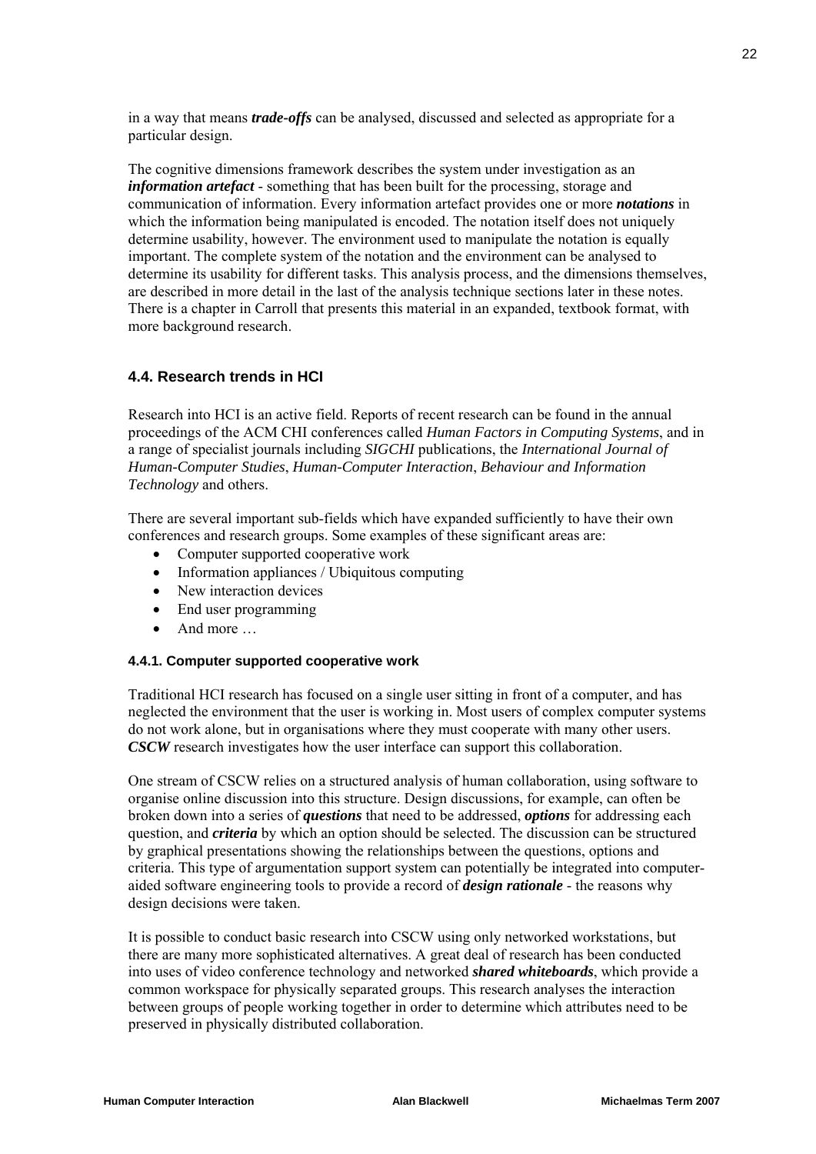in a way that means *trade-offs* can be analysed, discussed and selected as appropriate for a particular design.

The cognitive dimensions framework describes the system under investigation as an *information artefact* - something that has been built for the processing, storage and communication of information. Every information artefact provides one or more *notations* in which the information being manipulated is encoded. The notation itself does not uniquely determine usability, however. The environment used to manipulate the notation is equally important. The complete system of the notation and the environment can be analysed to determine its usability for different tasks. This analysis process, and the dimensions themselves, are described in more detail in the last of the analysis technique sections later in these notes. There is a chapter in Carroll that presents this material in an expanded, textbook format, with more background research.

# **4.4. Research trends in HCI**

Research into HCI is an active field. Reports of recent research can be found in the annual proceedings of the ACM CHI conferences called *Human Factors in Computing Systems*, and in a range of specialist journals including *SIGCHI* publications, the *International Journal of Human-Computer Studies*, *Human-Computer Interaction*, *Behaviour and Information Technology* and others.

There are several important sub-fields which have expanded sufficiently to have their own conferences and research groups. Some examples of these significant areas are:

- Computer supported cooperative work
- Information appliances / Ubiquitous computing
- New interaction devices
- End user programming
- And more …

### **4.4.1. Computer supported cooperative work**

Traditional HCI research has focused on a single user sitting in front of a computer, and has neglected the environment that the user is working in. Most users of complex computer systems do not work alone, but in organisations where they must cooperate with many other users. *CSCW* research investigates how the user interface can support this collaboration.

One stream of CSCW relies on a structured analysis of human collaboration, using software to organise online discussion into this structure. Design discussions, for example, can often be broken down into a series of *questions* that need to be addressed, *options* for addressing each question, and *criteria* by which an option should be selected. The discussion can be structured by graphical presentations showing the relationships between the questions, options and criteria. This type of argumentation support system can potentially be integrated into computeraided software engineering tools to provide a record of *design rationale* - the reasons why design decisions were taken.

It is possible to conduct basic research into CSCW using only networked workstations, but there are many more sophisticated alternatives. A great deal of research has been conducted into uses of video conference technology and networked *shared whiteboards*, which provide a common workspace for physically separated groups. This research analyses the interaction between groups of people working together in order to determine which attributes need to be preserved in physically distributed collaboration.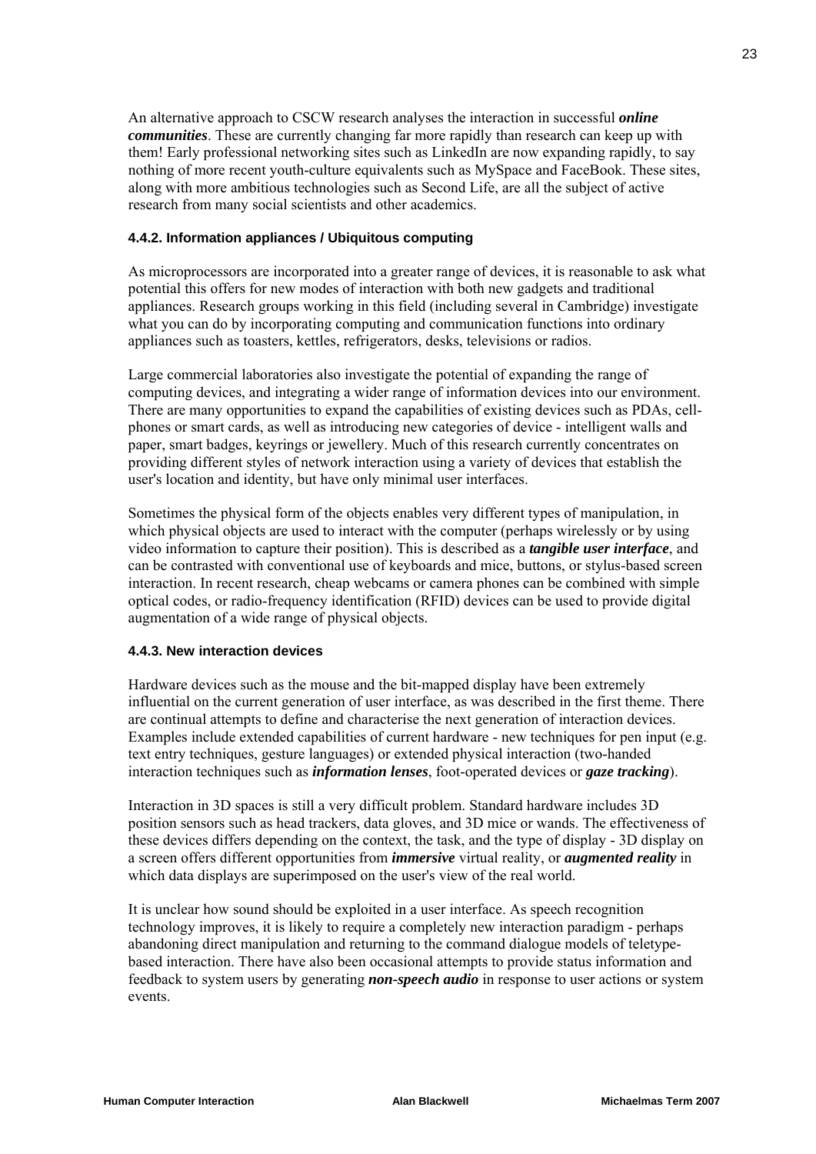An alternative approach to CSCW research analyses the interaction in successful *online communities*. These are currently changing far more rapidly than research can keep up with them! Early professional networking sites such as LinkedIn are now expanding rapidly, to say nothing of more recent youth-culture equivalents such as MySpace and FaceBook. These sites, along with more ambitious technologies such as Second Life, are all the subject of active research from many social scientists and other academics.

### **4.4.2. Information appliances / Ubiquitous computing**

As microprocessors are incorporated into a greater range of devices, it is reasonable to ask what potential this offers for new modes of interaction with both new gadgets and traditional appliances. Research groups working in this field (including several in Cambridge) investigate what you can do by incorporating computing and communication functions into ordinary appliances such as toasters, kettles, refrigerators, desks, televisions or radios.

Large commercial laboratories also investigate the potential of expanding the range of computing devices, and integrating a wider range of information devices into our environment. There are many opportunities to expand the capabilities of existing devices such as PDAs, cellphones or smart cards, as well as introducing new categories of device - intelligent walls and paper, smart badges, keyrings or jewellery. Much of this research currently concentrates on providing different styles of network interaction using a variety of devices that establish the user's location and identity, but have only minimal user interfaces.

Sometimes the physical form of the objects enables very different types of manipulation, in which physical objects are used to interact with the computer (perhaps wirelessly or by using video information to capture their position). This is described as a *tangible user interface*, and can be contrasted with conventional use of keyboards and mice, buttons, or stylus-based screen interaction. In recent research, cheap webcams or camera phones can be combined with simple optical codes, or radio-frequency identification (RFID) devices can be used to provide digital augmentation of a wide range of physical objects.

# **4.4.3. New interaction devices**

Hardware devices such as the mouse and the bit-mapped display have been extremely influential on the current generation of user interface, as was described in the first theme. There are continual attempts to define and characterise the next generation of interaction devices. Examples include extended capabilities of current hardware - new techniques for pen input (e.g. text entry techniques, gesture languages) or extended physical interaction (two-handed interaction techniques such as *information lenses*, foot-operated devices or *gaze tracking*).

Interaction in 3D spaces is still a very difficult problem. Standard hardware includes 3D position sensors such as head trackers, data gloves, and 3D mice or wands. The effectiveness of these devices differs depending on the context, the task, and the type of display - 3D display on a screen offers different opportunities from *immersive* virtual reality, or *augmented reality* in which data displays are superimposed on the user's view of the real world.

It is unclear how sound should be exploited in a user interface. As speech recognition technology improves, it is likely to require a completely new interaction paradigm - perhaps abandoning direct manipulation and returning to the command dialogue models of teletypebased interaction. There have also been occasional attempts to provide status information and feedback to system users by generating *non-speech audio* in response to user actions or system events.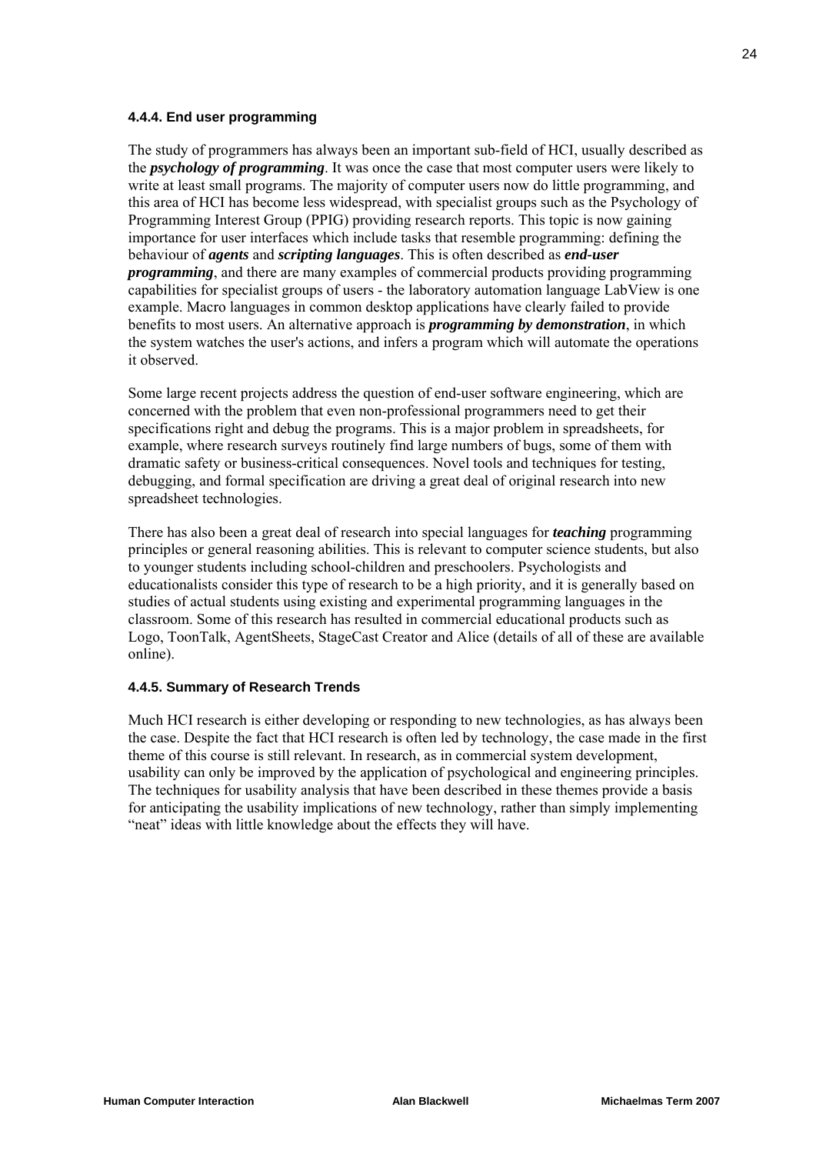# **4.4.4. End user programming**

The study of programmers has always been an important sub-field of HCI, usually described as the *psychology of programming*. It was once the case that most computer users were likely to write at least small programs. The majority of computer users now do little programming, and this area of HCI has become less widespread, with specialist groups such as the Psychology of Programming Interest Group (PPIG) providing research reports. This topic is now gaining importance for user interfaces which include tasks that resemble programming: defining the behaviour of *agents* and *scripting languages*. This is often described as *end-user programming*, and there are many examples of commercial products providing programming capabilities for specialist groups of users - the laboratory automation language LabView is one example. Macro languages in common desktop applications have clearly failed to provide benefits to most users. An alternative approach is *programming by demonstration*, in which the system watches the user's actions, and infers a program which will automate the operations it observed.

Some large recent projects address the question of end-user software engineering, which are concerned with the problem that even non-professional programmers need to get their specifications right and debug the programs. This is a major problem in spreadsheets, for example, where research surveys routinely find large numbers of bugs, some of them with dramatic safety or business-critical consequences. Novel tools and techniques for testing, debugging, and formal specification are driving a great deal of original research into new spreadsheet technologies.

There has also been a great deal of research into special languages for *teaching* programming principles or general reasoning abilities. This is relevant to computer science students, but also to younger students including school-children and preschoolers. Psychologists and educationalists consider this type of research to be a high priority, and it is generally based on studies of actual students using existing and experimental programming languages in the classroom. Some of this research has resulted in commercial educational products such as Logo, ToonTalk, AgentSheets, StageCast Creator and Alice (details of all of these are available online).

# **4.4.5. Summary of Research Trends**

Much HCI research is either developing or responding to new technologies, as has always been the case. Despite the fact that HCI research is often led by technology, the case made in the first theme of this course is still relevant. In research, as in commercial system development, usability can only be improved by the application of psychological and engineering principles. The techniques for usability analysis that have been described in these themes provide a basis for anticipating the usability implications of new technology, rather than simply implementing "neat" ideas with little knowledge about the effects they will have.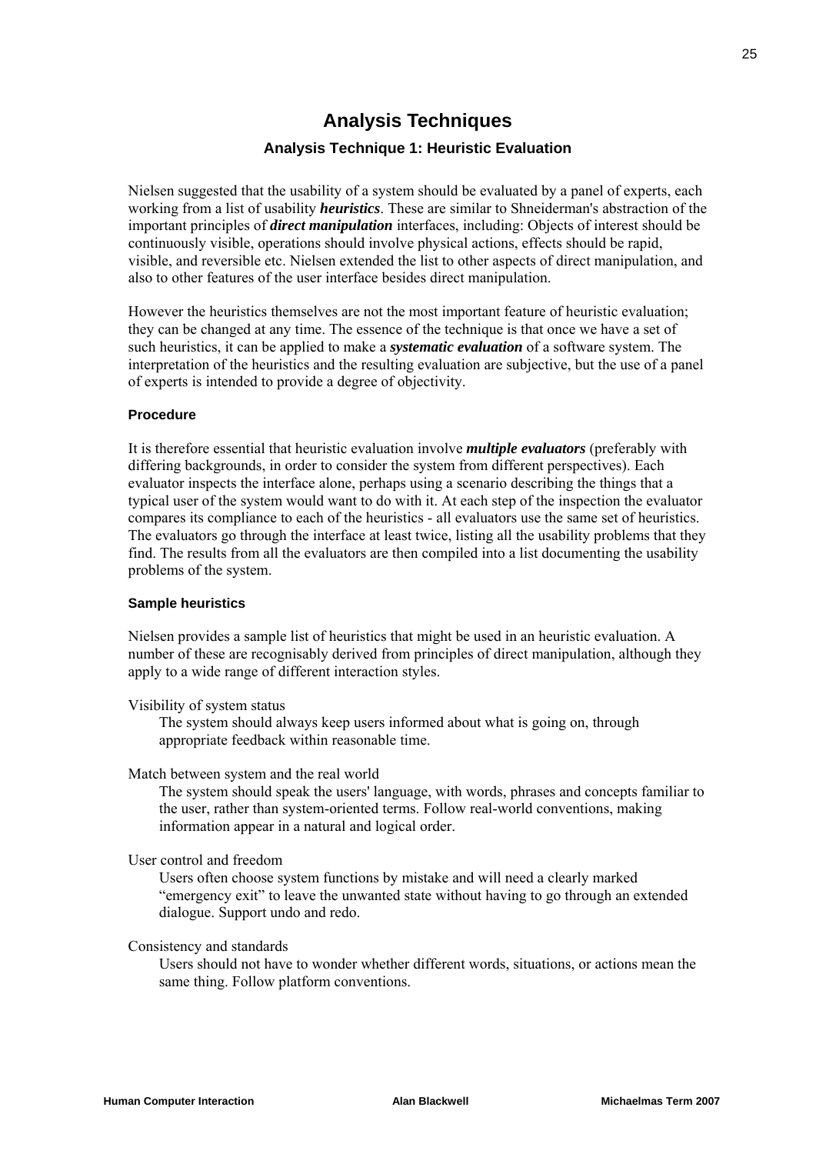# **Analysis Techniques Analysis Technique 1: Heuristic Evaluation**

Nielsen suggested that the usability of a system should be evaluated by a panel of experts, each working from a list of usability *heuristics*. These are similar to Shneiderman's abstraction of the important principles of *direct manipulation* interfaces, including: Objects of interest should be continuously visible, operations should involve physical actions, effects should be rapid, visible, and reversible etc. Nielsen extended the list to other aspects of direct manipulation, and also to other features of the user interface besides direct manipulation.

However the heuristics themselves are not the most important feature of heuristic evaluation; they can be changed at any time. The essence of the technique is that once we have a set of such heuristics, it can be applied to make a *systematic evaluation* of a software system. The interpretation of the heuristics and the resulting evaluation are subjective, but the use of a panel of experts is intended to provide a degree of objectivity.

### **Procedure**

It is therefore essential that heuristic evaluation involve *multiple evaluators* (preferably with differing backgrounds, in order to consider the system from different perspectives). Each evaluator inspects the interface alone, perhaps using a scenario describing the things that a typical user of the system would want to do with it. At each step of the inspection the evaluator compares its compliance to each of the heuristics - all evaluators use the same set of heuristics. The evaluators go through the interface at least twice, listing all the usability problems that they find. The results from all the evaluators are then compiled into a list documenting the usability problems of the system.

### **Sample heuristics**

Nielsen provides a sample list of heuristics that might be used in an heuristic evaluation. A number of these are recognisably derived from principles of direct manipulation, although they apply to a wide range of different interaction styles.

Visibility of system status

The system should always keep users informed about what is going on, through appropriate feedback within reasonable time.

Match between system and the real world

The system should speak the users' language, with words, phrases and concepts familiar to the user, rather than system-oriented terms. Follow real-world conventions, making information appear in a natural and logical order.

User control and freedom

Users often choose system functions by mistake and will need a clearly marked "emergency exit" to leave the unwanted state without having to go through an extended dialogue. Support undo and redo.

# Consistency and standards

Users should not have to wonder whether different words, situations, or actions mean the same thing. Follow platform conventions.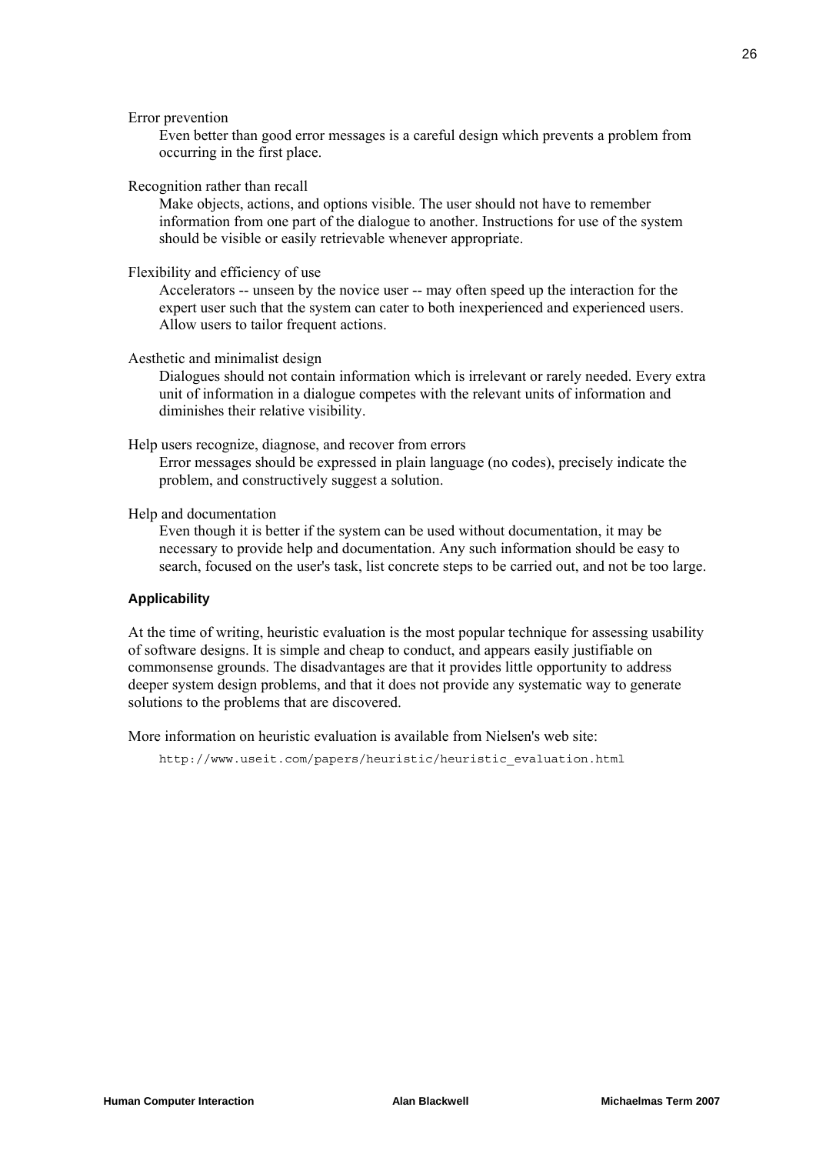Error prevention

Even better than good error messages is a careful design which prevents a problem from occurring in the first place.

Recognition rather than recall

Make objects, actions, and options visible. The user should not have to remember information from one part of the dialogue to another. Instructions for use of the system should be visible or easily retrievable whenever appropriate.

Flexibility and efficiency of use

Accelerators -- unseen by the novice user -- may often speed up the interaction for the expert user such that the system can cater to both inexperienced and experienced users. Allow users to tailor frequent actions.

Aesthetic and minimalist design

Dialogues should not contain information which is irrelevant or rarely needed. Every extra unit of information in a dialogue competes with the relevant units of information and diminishes their relative visibility.

Help users recognize, diagnose, and recover from errors

Error messages should be expressed in plain language (no codes), precisely indicate the problem, and constructively suggest a solution.

Help and documentation

Even though it is better if the system can be used without documentation, it may be necessary to provide help and documentation. Any such information should be easy to search, focused on the user's task, list concrete steps to be carried out, and not be too large.

### **Applicability**

At the time of writing, heuristic evaluation is the most popular technique for assessing usability of software designs. It is simple and cheap to conduct, and appears easily justifiable on commonsense grounds. The disadvantages are that it provides little opportunity to address deeper system design problems, and that it does not provide any systematic way to generate solutions to the problems that are discovered.

More information on heuristic evaluation is available from Nielsen's web site:

http://www.useit.com/papers/heuristic/heuristic\_evaluation.html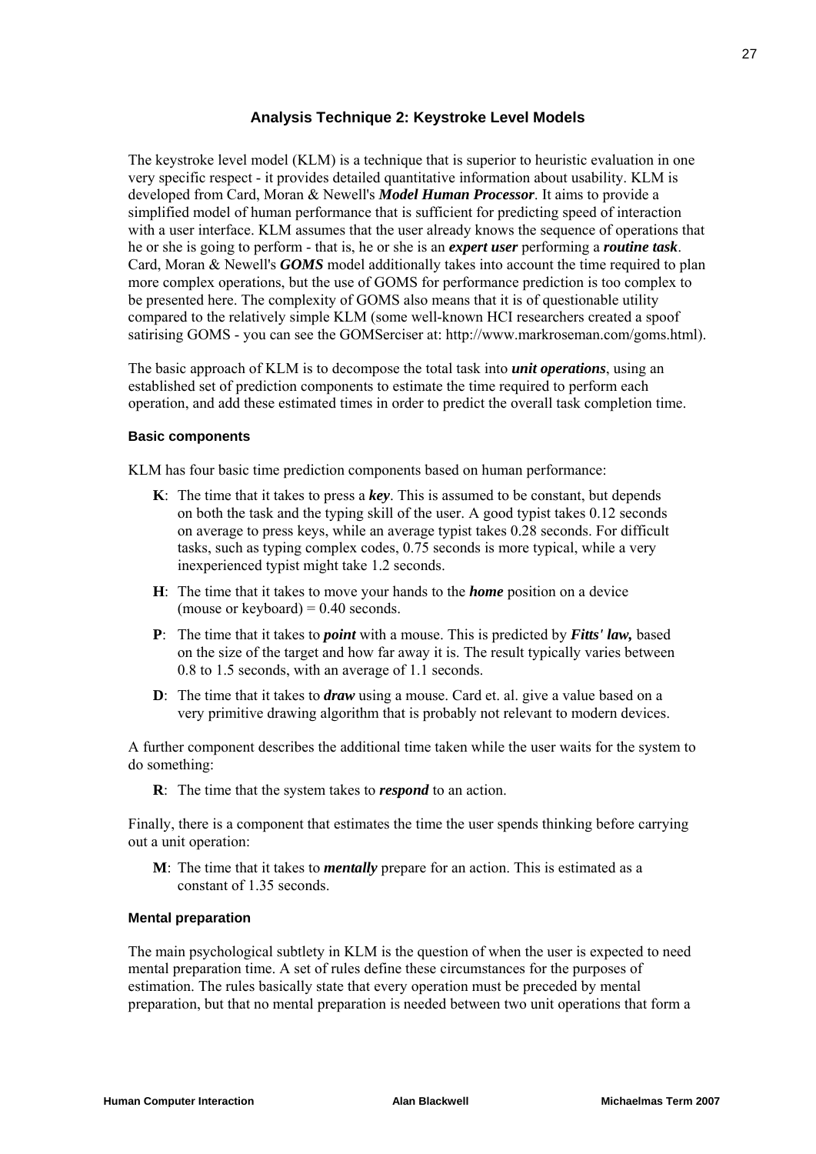# **Analysis Technique 2: Keystroke Level Models**

The keystroke level model (KLM) is a technique that is superior to heuristic evaluation in one very specific respect - it provides detailed quantitative information about usability. KLM is developed from Card, Moran & Newell's *Model Human Processor*. It aims to provide a simplified model of human performance that is sufficient for predicting speed of interaction with a user interface. KLM assumes that the user already knows the sequence of operations that he or she is going to perform - that is, he or she is an *expert user* performing a *routine task*. Card, Moran & Newell's *GOMS* model additionally takes into account the time required to plan more complex operations, but the use of GOMS for performance prediction is too complex to be presented here. The complexity of GOMS also means that it is of questionable utility compared to the relatively simple KLM (some well-known HCI researchers created a spoof satirising GOMS - you can see the GOMSerciser at: http://www.markroseman.com/goms.html).

The basic approach of KLM is to decompose the total task into *unit operations*, using an established set of prediction components to estimate the time required to perform each operation, and add these estimated times in order to predict the overall task completion time.

### **Basic components**

KLM has four basic time prediction components based on human performance:

- **K**: The time that it takes to press a *key*. This is assumed to be constant, but depends on both the task and the typing skill of the user. A good typist takes 0.12 seconds on average to press keys, while an average typist takes 0.28 seconds. For difficult tasks, such as typing complex codes, 0.75 seconds is more typical, while a very inexperienced typist might take 1.2 seconds.
- **H**: The time that it takes to move your hands to the *home* position on a device (mouse or keyboard)  $= 0.40$  seconds.
- **P**: The time that it takes to *point* with a mouse. This is predicted by *Fitts' law,* based on the size of the target and how far away it is. The result typically varies between 0.8 to 1.5 seconds, with an average of 1.1 seconds.
- **D**: The time that it takes to *draw* using a mouse. Card et. al. give a value based on a very primitive drawing algorithm that is probably not relevant to modern devices.

A further component describes the additional time taken while the user waits for the system to do something:

**R**: The time that the system takes to *respond* to an action.

Finally, there is a component that estimates the time the user spends thinking before carrying out a unit operation:

**M**: The time that it takes to *mentally* prepare for an action. This is estimated as a constant of 1.35 seconds.

### **Mental preparation**

The main psychological subtlety in KLM is the question of when the user is expected to need mental preparation time. A set of rules define these circumstances for the purposes of estimation. The rules basically state that every operation must be preceded by mental preparation, but that no mental preparation is needed between two unit operations that form a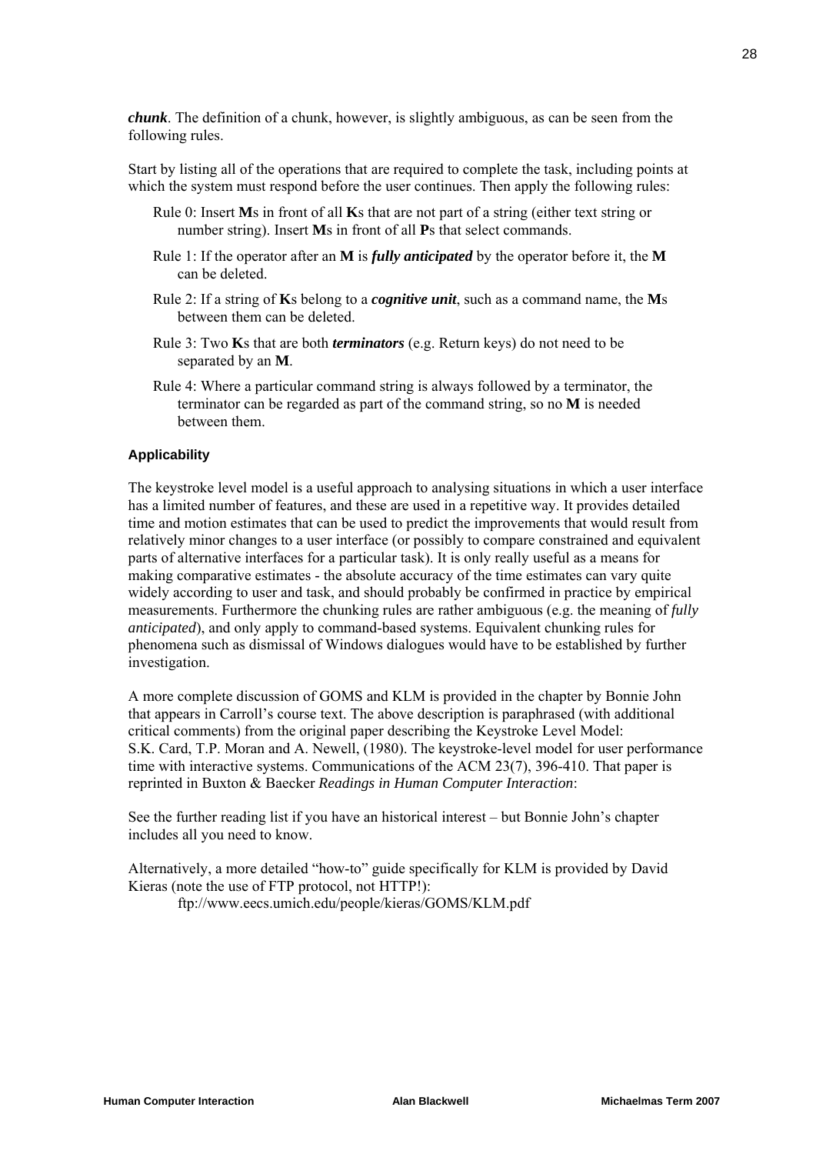*chunk*. The definition of a chunk, however, is slightly ambiguous, as can be seen from the following rules.

Start by listing all of the operations that are required to complete the task, including points at which the system must respond before the user continues. Then apply the following rules:

- Rule 0: Insert **M**s in front of all **K**s that are not part of a string (either text string or number string). Insert **M**s in front of all **P**s that select commands.
- Rule 1: If the operator after an **M** is *fully anticipated* by the operator before it, the **M** can be deleted.
- Rule 2: If a string of **K**s belong to a *cognitive unit*, such as a command name, the **M**s between them can be deleted.
- Rule 3: Two **K**s that are both *terminators* (e.g. Return keys) do not need to be separated by an **M**.
- Rule 4: Where a particular command string is always followed by a terminator, the terminator can be regarded as part of the command string, so no **M** is needed between them.

### **Applicability**

The keystroke level model is a useful approach to analysing situations in which a user interface has a limited number of features, and these are used in a repetitive way. It provides detailed time and motion estimates that can be used to predict the improvements that would result from relatively minor changes to a user interface (or possibly to compare constrained and equivalent parts of alternative interfaces for a particular task). It is only really useful as a means for making comparative estimates - the absolute accuracy of the time estimates can vary quite widely according to user and task, and should probably be confirmed in practice by empirical measurements. Furthermore the chunking rules are rather ambiguous (e.g. the meaning of *fully anticipated*), and only apply to command-based systems. Equivalent chunking rules for phenomena such as dismissal of Windows dialogues would have to be established by further investigation.

A more complete discussion of GOMS and KLM is provided in the chapter by Bonnie John that appears in Carroll's course text. The above description is paraphrased (with additional critical comments) from the original paper describing the Keystroke Level Model: S.K. Card, T.P. Moran and A. Newell, (1980). The keystroke-level model for user performance time with interactive systems. Communications of the ACM 23(7), 396-410. That paper is reprinted in Buxton & Baecker *Readings in Human Computer Interaction*:

See the further reading list if you have an historical interest – but Bonnie John's chapter includes all you need to know.

Alternatively, a more detailed "how-to" guide specifically for KLM is provided by David Kieras (note the use of FTP protocol, not HTTP!):

ftp://www.eecs.umich.edu/people/kieras/GOMS/KLM.pdf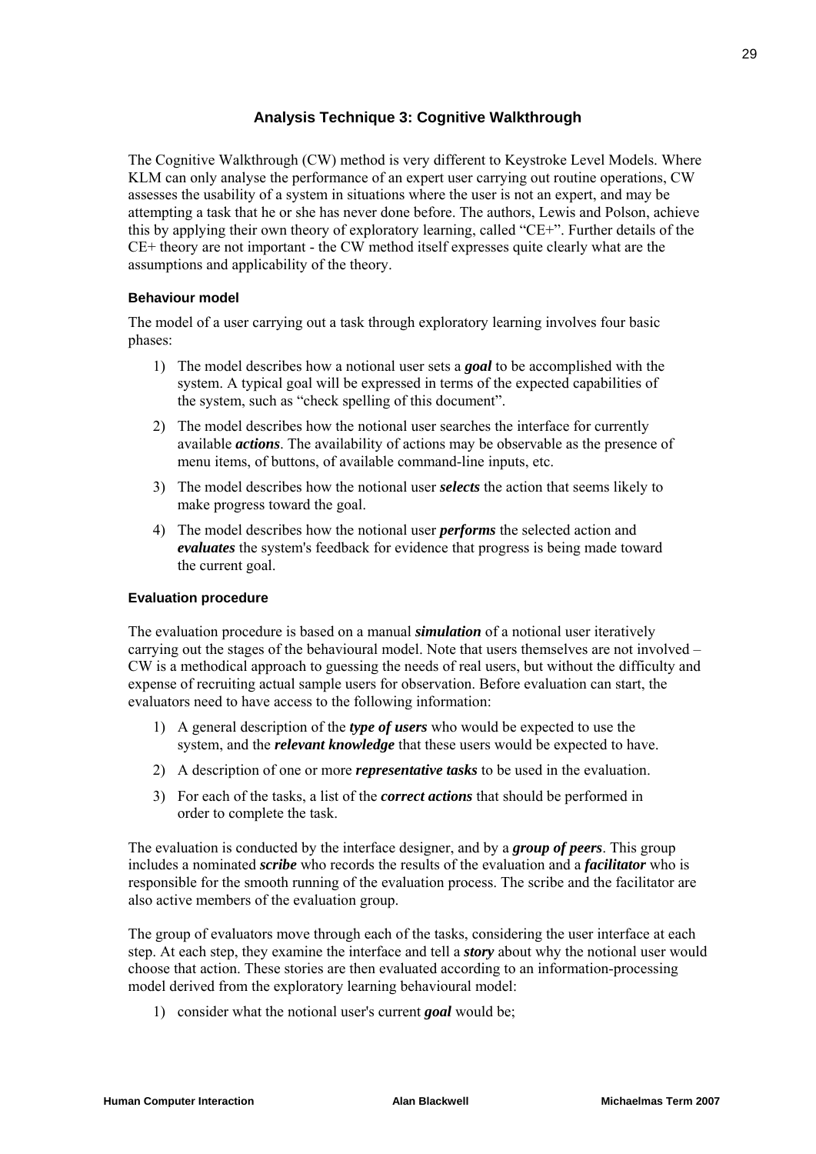# **Analysis Technique 3: Cognitive Walkthrough**

The Cognitive Walkthrough (CW) method is very different to Keystroke Level Models. Where KLM can only analyse the performance of an expert user carrying out routine operations, CW assesses the usability of a system in situations where the user is not an expert, and may be attempting a task that he or she has never done before. The authors, Lewis and Polson, achieve this by applying their own theory of exploratory learning, called "CE+". Further details of the CE+ theory are not important - the CW method itself expresses quite clearly what are the assumptions and applicability of the theory.

# **Behaviour model**

The model of a user carrying out a task through exploratory learning involves four basic phases:

- 1) The model describes how a notional user sets a *goal* to be accomplished with the system. A typical goal will be expressed in terms of the expected capabilities of the system, such as "check spelling of this document".
- 2) The model describes how the notional user searches the interface for currently available *actions*. The availability of actions may be observable as the presence of menu items, of buttons, of available command-line inputs, etc.
- 3) The model describes how the notional user *selects* the action that seems likely to make progress toward the goal.
- 4) The model describes how the notional user *performs* the selected action and *evaluates* the system's feedback for evidence that progress is being made toward the current goal.

### **Evaluation procedure**

The evaluation procedure is based on a manual *simulation* of a notional user iteratively carrying out the stages of the behavioural model. Note that users themselves are not involved – CW is a methodical approach to guessing the needs of real users, but without the difficulty and expense of recruiting actual sample users for observation. Before evaluation can start, the evaluators need to have access to the following information:

- 1) A general description of the *type of users* who would be expected to use the system, and the *relevant knowledge* that these users would be expected to have.
- 2) A description of one or more *representative tasks* to be used in the evaluation.
- 3) For each of the tasks, a list of the *correct actions* that should be performed in order to complete the task.

The evaluation is conducted by the interface designer, and by a *group of peers*. This group includes a nominated *scribe* who records the results of the evaluation and a *facilitator* who is responsible for the smooth running of the evaluation process. The scribe and the facilitator are also active members of the evaluation group.

The group of evaluators move through each of the tasks, considering the user interface at each step. At each step, they examine the interface and tell a *story* about why the notional user would choose that action. These stories are then evaluated according to an information-processing model derived from the exploratory learning behavioural model:

1) consider what the notional user's current *goal* would be;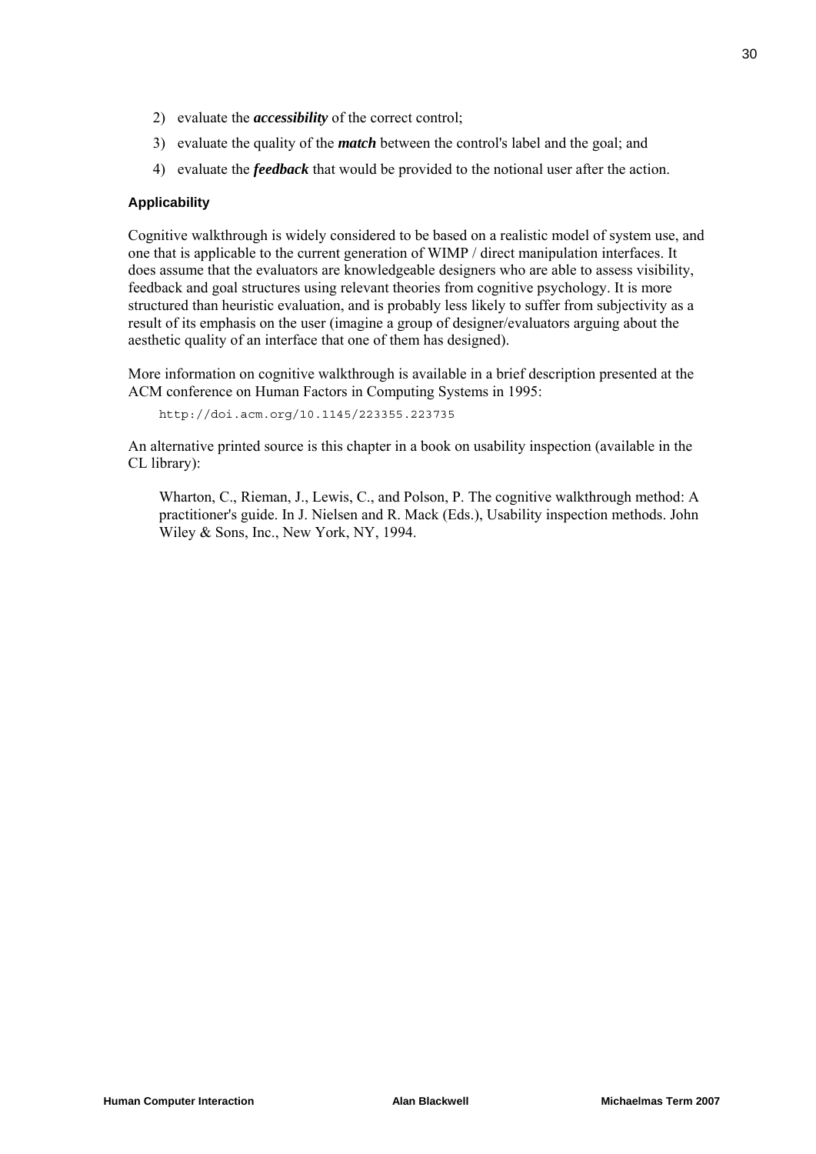- 2) evaluate the *accessibility* of the correct control;
- 3) evaluate the quality of the *match* between the control's label and the goal; and
- 4) evaluate the *feedback* that would be provided to the notional user after the action.

### **Applicability**

Cognitive walkthrough is widely considered to be based on a realistic model of system use, and one that is applicable to the current generation of WIMP / direct manipulation interfaces. It does assume that the evaluators are knowledgeable designers who are able to assess visibility, feedback and goal structures using relevant theories from cognitive psychology. It is more structured than heuristic evaluation, and is probably less likely to suffer from subjectivity as a result of its emphasis on the user (imagine a group of designer/evaluators arguing about the aesthetic quality of an interface that one of them has designed).

More information on cognitive walkthrough is available in a brief description presented at the ACM conference on Human Factors in Computing Systems in 1995:

```
http://doi.acm.org/10.1145/223355.223735
```
An alternative printed source is this chapter in a book on usability inspection (available in the CL library):

Wharton, C., Rieman, J., Lewis, C., and Polson, P. The cognitive walkthrough method: A practitioner's guide. In J. Nielsen and R. Mack (Eds.), Usability inspection methods. John Wiley & Sons, Inc., New York, NY, 1994.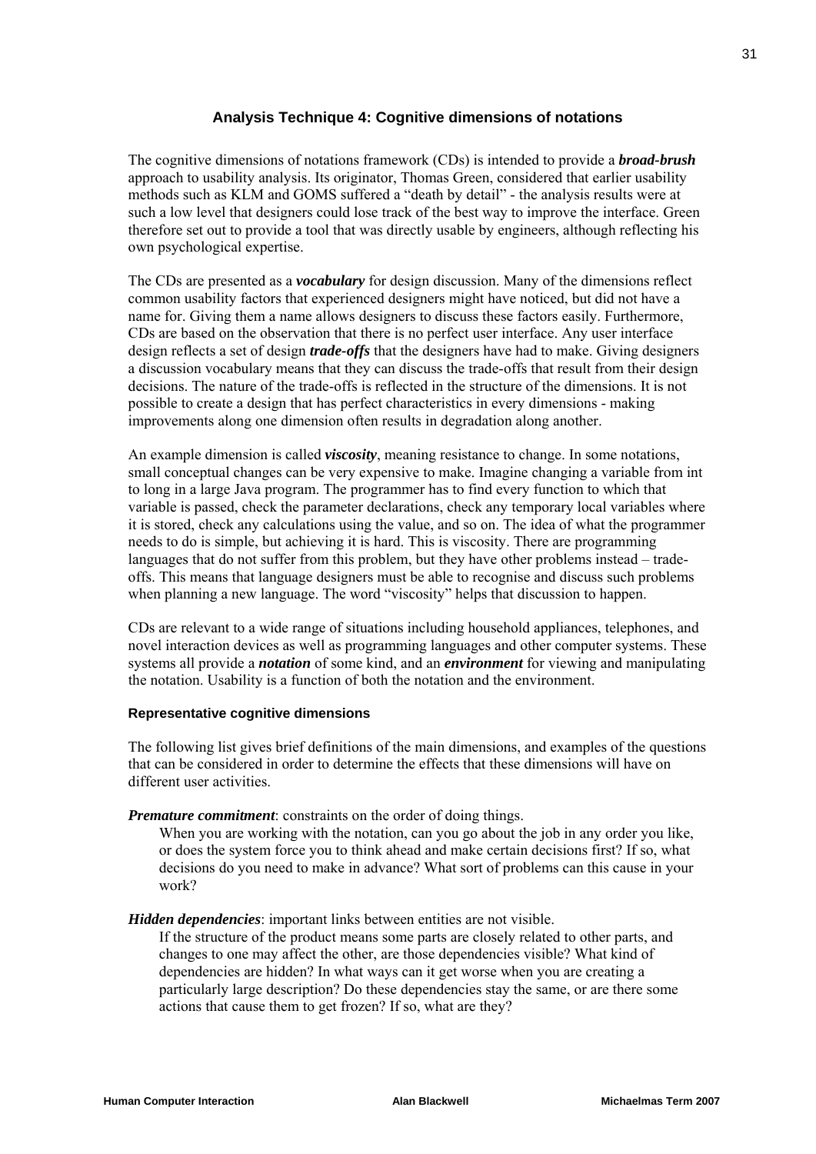# **Analysis Technique 4: Cognitive dimensions of notations**

The cognitive dimensions of notations framework (CDs) is intended to provide a *broad-brush* approach to usability analysis. Its originator, Thomas Green, considered that earlier usability methods such as KLM and GOMS suffered a "death by detail" - the analysis results were at such a low level that designers could lose track of the best way to improve the interface. Green therefore set out to provide a tool that was directly usable by engineers, although reflecting his own psychological expertise.

The CDs are presented as a *vocabulary* for design discussion. Many of the dimensions reflect common usability factors that experienced designers might have noticed, but did not have a name for. Giving them a name allows designers to discuss these factors easily. Furthermore, CDs are based on the observation that there is no perfect user interface. Any user interface design reflects a set of design *trade-offs* that the designers have had to make. Giving designers a discussion vocabulary means that they can discuss the trade-offs that result from their design decisions. The nature of the trade-offs is reflected in the structure of the dimensions. It is not possible to create a design that has perfect characteristics in every dimensions - making improvements along one dimension often results in degradation along another.

An example dimension is called *viscosity*, meaning resistance to change. In some notations, small conceptual changes can be very expensive to make. Imagine changing a variable from int to long in a large Java program. The programmer has to find every function to which that variable is passed, check the parameter declarations, check any temporary local variables where it is stored, check any calculations using the value, and so on. The idea of what the programmer needs to do is simple, but achieving it is hard. This is viscosity. There are programming languages that do not suffer from this problem, but they have other problems instead – tradeoffs. This means that language designers must be able to recognise and discuss such problems when planning a new language. The word "viscosity" helps that discussion to happen.

CDs are relevant to a wide range of situations including household appliances, telephones, and novel interaction devices as well as programming languages and other computer systems. These systems all provide a *notation* of some kind, and an *environment* for viewing and manipulating the notation. Usability is a function of both the notation and the environment.

# **Representative cognitive dimensions**

The following list gives brief definitions of the main dimensions, and examples of the questions that can be considered in order to determine the effects that these dimensions will have on different user activities.

# *Premature commitment*: constraints on the order of doing things.

When you are working with the notation, can you go about the job in any order you like, or does the system force you to think ahead and make certain decisions first? If so, what decisions do you need to make in advance? What sort of problems can this cause in your work?

# *Hidden dependencies*: important links between entities are not visible.

If the structure of the product means some parts are closely related to other parts, and changes to one may affect the other, are those dependencies visible? What kind of dependencies are hidden? In what ways can it get worse when you are creating a particularly large description? Do these dependencies stay the same, or are there some actions that cause them to get frozen? If so, what are they?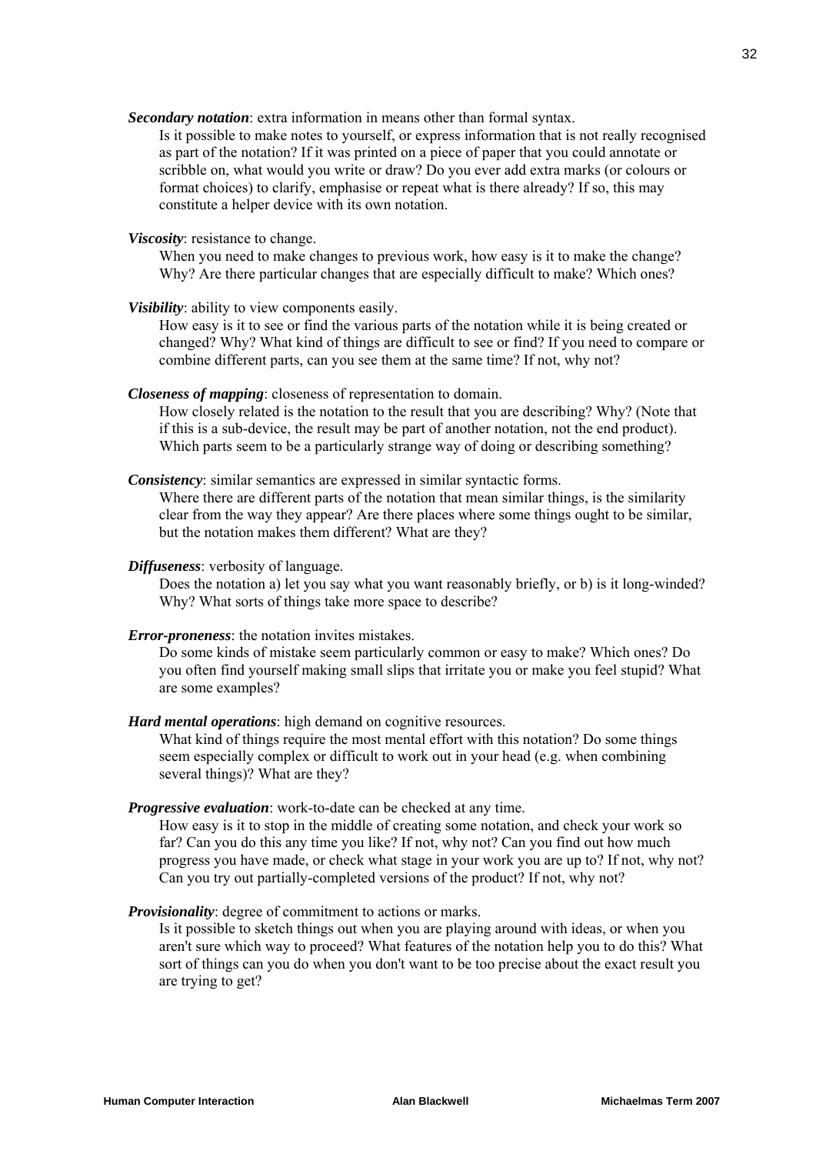*Secondary notation*: extra information in means other than formal syntax.

Is it possible to make notes to yourself, or express information that is not really recognised as part of the notation? If it was printed on a piece of paper that you could annotate or scribble on, what would you write or draw? Do you ever add extra marks (or colours or format choices) to clarify, emphasise or repeat what is there already? If so, this may constitute a helper device with its own notation.

### *Viscosity*: resistance to change.

When you need to make changes to previous work, how easy is it to make the change? Why? Are there particular changes that are especially difficult to make? Which ones?

*Visibility*: ability to view components easily.

How easy is it to see or find the various parts of the notation while it is being created or changed? Why? What kind of things are difficult to see or find? If you need to compare or combine different parts, can you see them at the same time? If not, why not?

### *Closeness of mapping*: closeness of representation to domain.

How closely related is the notation to the result that you are describing? Why? (Note that if this is a sub-device, the result may be part of another notation, not the end product). Which parts seem to be a particularly strange way of doing or describing something?

### *Consistency*: similar semantics are expressed in similar syntactic forms.

Where there are different parts of the notation that mean similar things, is the similarity clear from the way they appear? Are there places where some things ought to be similar, but the notation makes them different? What are they?

### *Diffuseness*: verbosity of language.

Does the notation a) let you say what you want reasonably briefly, or b) is it long-winded? Why? What sorts of things take more space to describe?

### *Error-proneness*: the notation invites mistakes.

Do some kinds of mistake seem particularly common or easy to make? Which ones? Do you often find yourself making small slips that irritate you or make you feel stupid? What are some examples?

### *Hard mental operations*: high demand on cognitive resources.

What kind of things require the most mental effort with this notation? Do some things seem especially complex or difficult to work out in your head (e.g. when combining several things)? What are they?

### *Progressive evaluation*: work-to-date can be checked at any time.

How easy is it to stop in the middle of creating some notation, and check your work so far? Can you do this any time you like? If not, why not? Can you find out how much progress you have made, or check what stage in your work you are up to? If not, why not? Can you try out partially-completed versions of the product? If not, why not?

### *Provisionality*: degree of commitment to actions or marks.

Is it possible to sketch things out when you are playing around with ideas, or when you aren't sure which way to proceed? What features of the notation help you to do this? What sort of things can you do when you don't want to be too precise about the exact result you are trying to get?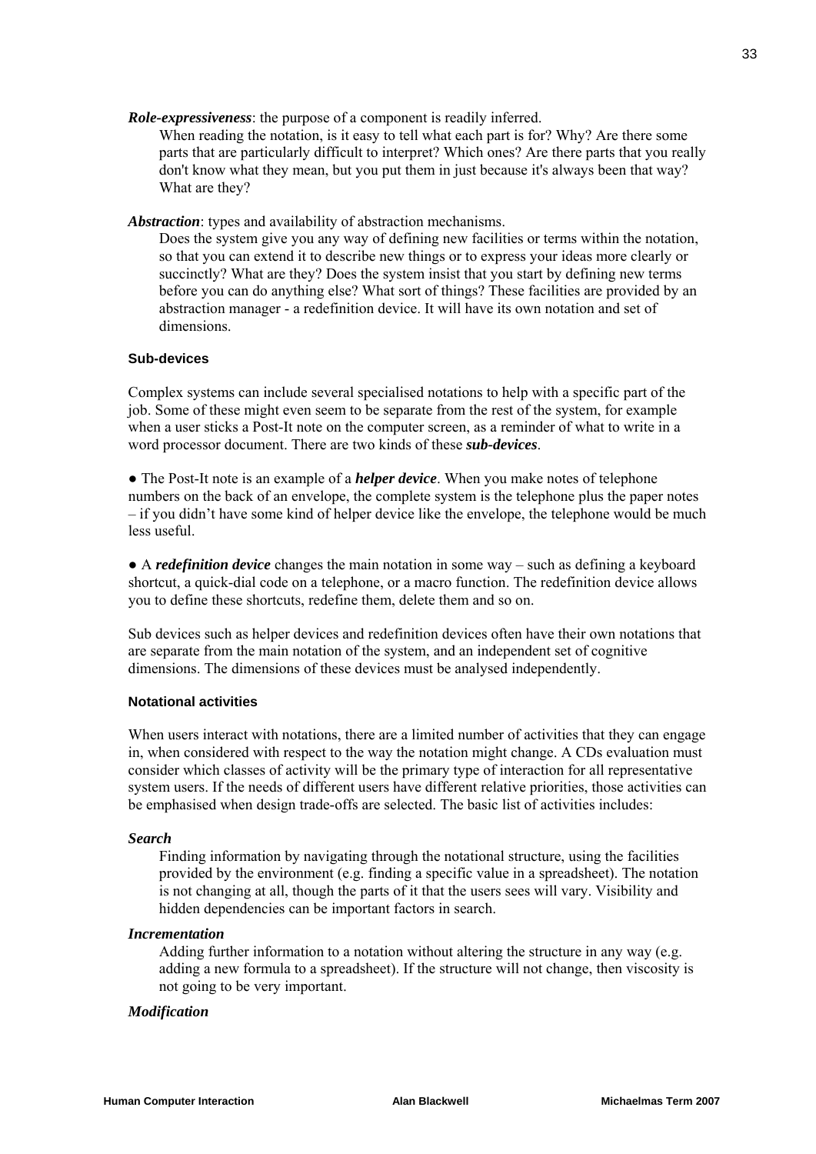*Role-expressiveness*: the purpose of a component is readily inferred.

When reading the notation, is it easy to tell what each part is for? Why? Are there some parts that are particularly difficult to interpret? Which ones? Are there parts that you really don't know what they mean, but you put them in just because it's always been that way? What are they?

*Abstraction*: types and availability of abstraction mechanisms.

Does the system give you any way of defining new facilities or terms within the notation, so that you can extend it to describe new things or to express your ideas more clearly or succinctly? What are they? Does the system insist that you start by defining new terms before you can do anything else? What sort of things? These facilities are provided by an abstraction manager - a redefinition device. It will have its own notation and set of dimensions.

### **Sub-devices**

Complex systems can include several specialised notations to help with a specific part of the job. Some of these might even seem to be separate from the rest of the system, for example when a user sticks a Post-It note on the computer screen, as a reminder of what to write in a word processor document. There are two kinds of these *sub-devices*.

● The Post-It note is an example of a *helper device*. When you make notes of telephone numbers on the back of an envelope, the complete system is the telephone plus the paper notes – if you didn't have some kind of helper device like the envelope, the telephone would be much less useful.

● A *redefinition device* changes the main notation in some way – such as defining a keyboard shortcut, a quick-dial code on a telephone, or a macro function. The redefinition device allows you to define these shortcuts, redefine them, delete them and so on.

Sub devices such as helper devices and redefinition devices often have their own notations that are separate from the main notation of the system, and an independent set of cognitive dimensions. The dimensions of these devices must be analysed independently.

### **Notational activities**

When users interact with notations, there are a limited number of activities that they can engage in, when considered with respect to the way the notation might change. A CDs evaluation must consider which classes of activity will be the primary type of interaction for all representative system users. If the needs of different users have different relative priorities, those activities can be emphasised when design trade-offs are selected. The basic list of activities includes:

### *Search*

Finding information by navigating through the notational structure, using the facilities provided by the environment (e.g. finding a specific value in a spreadsheet). The notation is not changing at all, though the parts of it that the users sees will vary. Visibility and hidden dependencies can be important factors in search.

### *Incrementation*

Adding further information to a notation without altering the structure in any way (e.g. adding a new formula to a spreadsheet). If the structure will not change, then viscosity is not going to be very important.

### *Modification*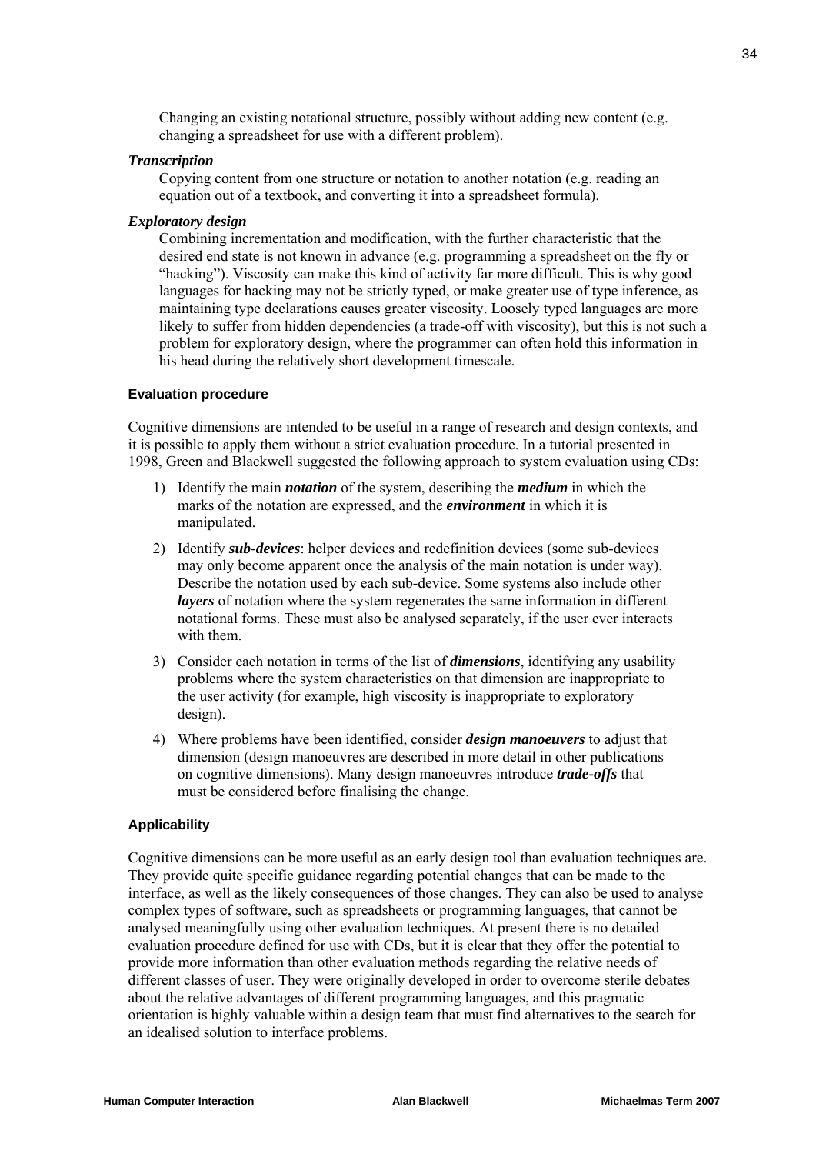Changing an existing notational structure, possibly without adding new content (e.g. changing a spreadsheet for use with a different problem).

### *Transcription*

Copying content from one structure or notation to another notation (e.g. reading an equation out of a textbook, and converting it into a spreadsheet formula).

### *Exploratory design*

Combining incrementation and modification, with the further characteristic that the desired end state is not known in advance (e.g. programming a spreadsheet on the fly or "hacking"). Viscosity can make this kind of activity far more difficult. This is why good languages for hacking may not be strictly typed, or make greater use of type inference, as maintaining type declarations causes greater viscosity. Loosely typed languages are more likely to suffer from hidden dependencies (a trade-off with viscosity), but this is not such a problem for exploratory design, where the programmer can often hold this information in his head during the relatively short development timescale.

### **Evaluation procedure**

Cognitive dimensions are intended to be useful in a range of research and design contexts, and it is possible to apply them without a strict evaluation procedure. In a tutorial presented in 1998, Green and Blackwell suggested the following approach to system evaluation using CDs:

- 1) Identify the main *notation* of the system, describing the *medium* in which the marks of the notation are expressed, and the *environment* in which it is manipulated.
- 2) Identify *sub-devices*: helper devices and redefinition devices (some sub-devices may only become apparent once the analysis of the main notation is under way). Describe the notation used by each sub-device. Some systems also include other *layers* of notation where the system regenerates the same information in different notational forms. These must also be analysed separately, if the user ever interacts with them.
- 3) Consider each notation in terms of the list of *dimensions*, identifying any usability problems where the system characteristics on that dimension are inappropriate to the user activity (for example, high viscosity is inappropriate to exploratory design).
- 4) Where problems have been identified, consider *design manoeuvers* to adjust that dimension (design manoeuvres are described in more detail in other publications on cognitive dimensions). Many design manoeuvres introduce *trade-offs* that must be considered before finalising the change.

### **Applicability**

Cognitive dimensions can be more useful as an early design tool than evaluation techniques are. They provide quite specific guidance regarding potential changes that can be made to the interface, as well as the likely consequences of those changes. They can also be used to analyse complex types of software, such as spreadsheets or programming languages, that cannot be analysed meaningfully using other evaluation techniques. At present there is no detailed evaluation procedure defined for use with CDs, but it is clear that they offer the potential to provide more information than other evaluation methods regarding the relative needs of different classes of user. They were originally developed in order to overcome sterile debates about the relative advantages of different programming languages, and this pragmatic orientation is highly valuable within a design team that must find alternatives to the search for an idealised solution to interface problems.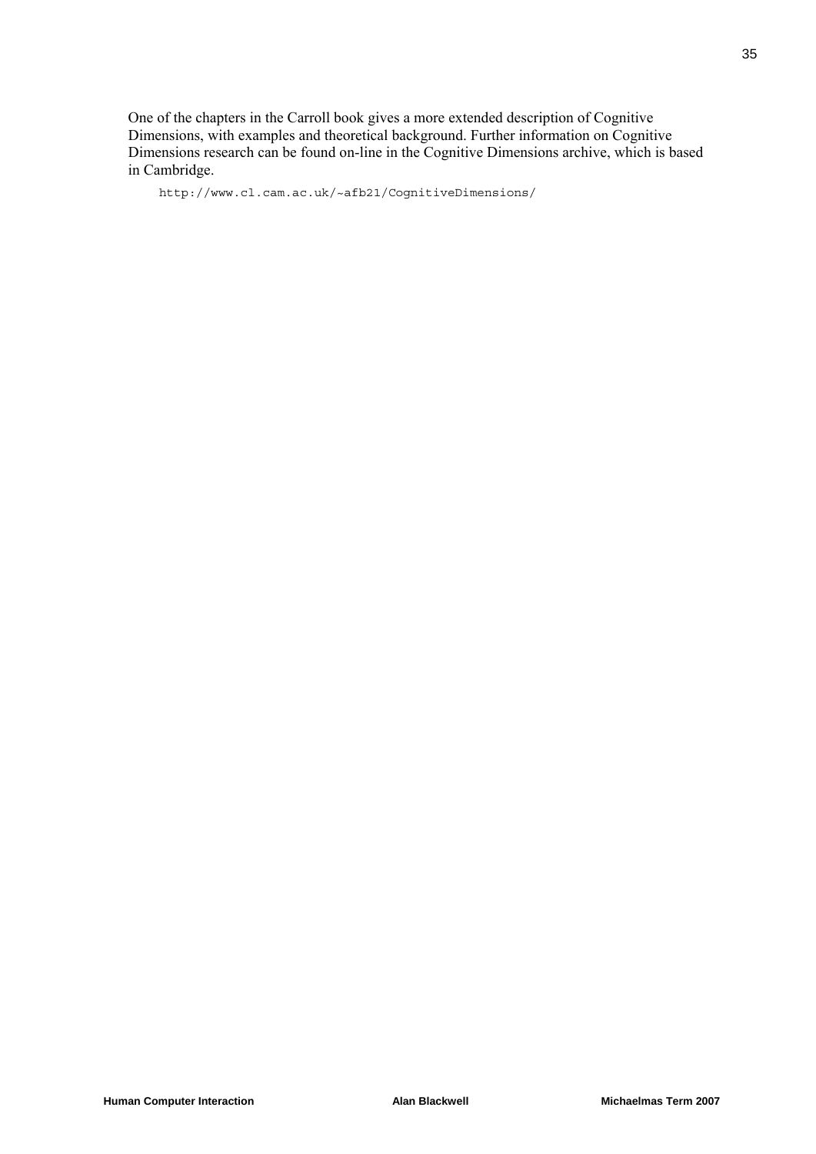One of the chapters in the Carroll book gives a more extended description of Cognitive Dimensions, with examples and theoretical background. Further information on Cognitive Dimensions research can be found on-line in the Cognitive Dimensions archive, which is based in Cambridge.

http://www.cl.cam.ac.uk/~afb21/CognitiveDimensions/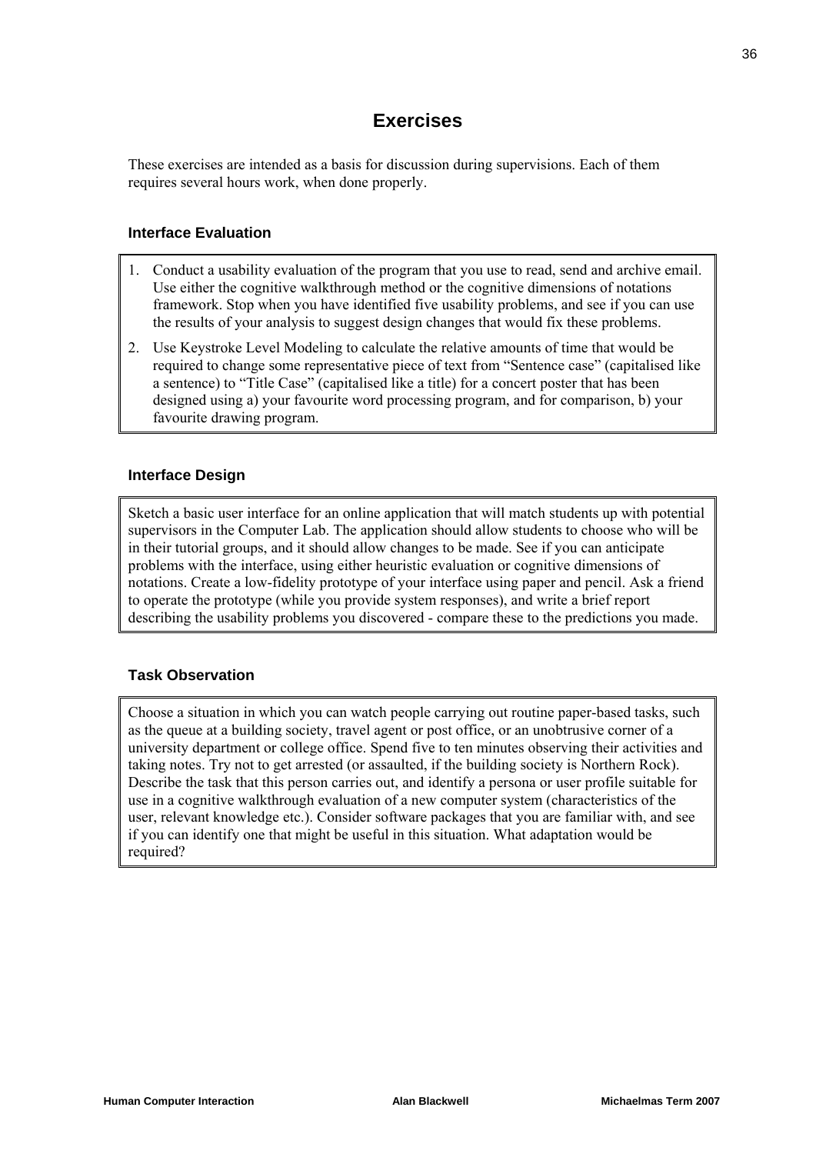# **Exercises**

These exercises are intended as a basis for discussion during supervisions. Each of them requires several hours work, when done properly.

# **Interface Evaluation**

- 1. Conduct a usability evaluation of the program that you use to read, send and archive email. Use either the cognitive walkthrough method or the cognitive dimensions of notations framework. Stop when you have identified five usability problems, and see if you can use the results of your analysis to suggest design changes that would fix these problems.
- 2. Use Keystroke Level Modeling to calculate the relative amounts of time that would be required to change some representative piece of text from "Sentence case" (capitalised like a sentence) to "Title Case" (capitalised like a title) for a concert poster that has been designed using a) your favourite word processing program, and for comparison, b) your favourite drawing program.

# **Interface Design**

Sketch a basic user interface for an online application that will match students up with potential supervisors in the Computer Lab. The application should allow students to choose who will be in their tutorial groups, and it should allow changes to be made. See if you can anticipate problems with the interface, using either heuristic evaluation or cognitive dimensions of notations. Create a low-fidelity prototype of your interface using paper and pencil. Ask a friend to operate the prototype (while you provide system responses), and write a brief report describing the usability problems you discovered - compare these to the predictions you made.

# **Task Observation**

Choose a situation in which you can watch people carrying out routine paper-based tasks, such as the queue at a building society, travel agent or post office, or an unobtrusive corner of a university department or college office. Spend five to ten minutes observing their activities and taking notes. Try not to get arrested (or assaulted, if the building society is Northern Rock). Describe the task that this person carries out, and identify a persona or user profile suitable for use in a cognitive walkthrough evaluation of a new computer system (characteristics of the user, relevant knowledge etc.). Consider software packages that you are familiar with, and see if you can identify one that might be useful in this situation. What adaptation would be required?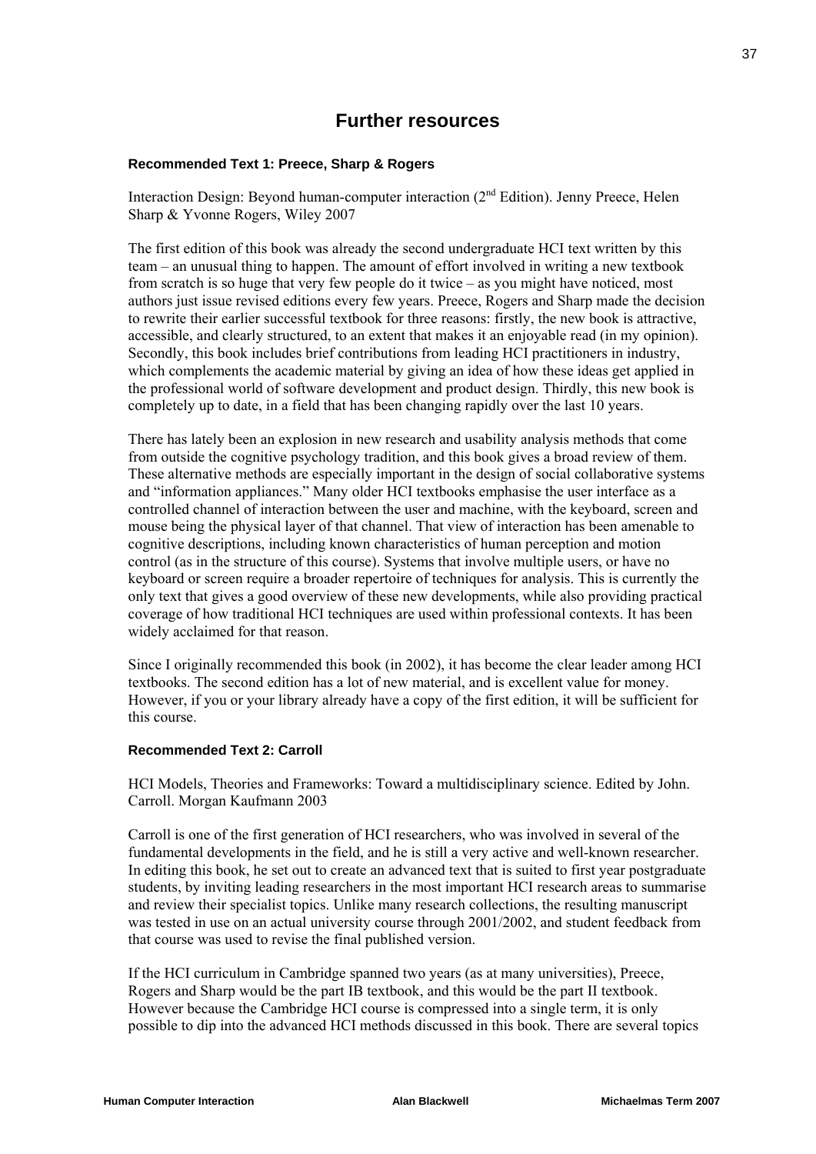# **Further resources**

### **Recommended Text 1: Preece, Sharp & Rogers**

Interaction Design: Beyond human-computer interaction  $(2<sup>nd</sup> Edition)$ . Jenny Preece, Helen Sharp & Yvonne Rogers, Wiley 2007

The first edition of this book was already the second undergraduate HCI text written by this team – an unusual thing to happen. The amount of effort involved in writing a new textbook from scratch is so huge that very few people do it twice – as you might have noticed, most authors just issue revised editions every few years. Preece, Rogers and Sharp made the decision to rewrite their earlier successful textbook for three reasons: firstly, the new book is attractive, accessible, and clearly structured, to an extent that makes it an enjoyable read (in my opinion). Secondly, this book includes brief contributions from leading HCI practitioners in industry, which complements the academic material by giving an idea of how these ideas get applied in the professional world of software development and product design. Thirdly, this new book is completely up to date, in a field that has been changing rapidly over the last 10 years.

There has lately been an explosion in new research and usability analysis methods that come from outside the cognitive psychology tradition, and this book gives a broad review of them. These alternative methods are especially important in the design of social collaborative systems and "information appliances." Many older HCI textbooks emphasise the user interface as a controlled channel of interaction between the user and machine, with the keyboard, screen and mouse being the physical layer of that channel. That view of interaction has been amenable to cognitive descriptions, including known characteristics of human perception and motion control (as in the structure of this course). Systems that involve multiple users, or have no keyboard or screen require a broader repertoire of techniques for analysis. This is currently the only text that gives a good overview of these new developments, while also providing practical coverage of how traditional HCI techniques are used within professional contexts. It has been widely acclaimed for that reason.

Since I originally recommended this book (in 2002), it has become the clear leader among HCI textbooks. The second edition has a lot of new material, and is excellent value for money. However, if you or your library already have a copy of the first edition, it will be sufficient for this course.

### **Recommended Text 2: Carroll**

HCI Models, Theories and Frameworks: Toward a multidisciplinary science. Edited by John. Carroll. Morgan Kaufmann 2003

Carroll is one of the first generation of HCI researchers, who was involved in several of the fundamental developments in the field, and he is still a very active and well-known researcher. In editing this book, he set out to create an advanced text that is suited to first year postgraduate students, by inviting leading researchers in the most important HCI research areas to summarise and review their specialist topics. Unlike many research collections, the resulting manuscript was tested in use on an actual university course through 2001/2002, and student feedback from that course was used to revise the final published version.

If the HCI curriculum in Cambridge spanned two years (as at many universities), Preece, Rogers and Sharp would be the part IB textbook, and this would be the part II textbook. However because the Cambridge HCI course is compressed into a single term, it is only possible to dip into the advanced HCI methods discussed in this book. There are several topics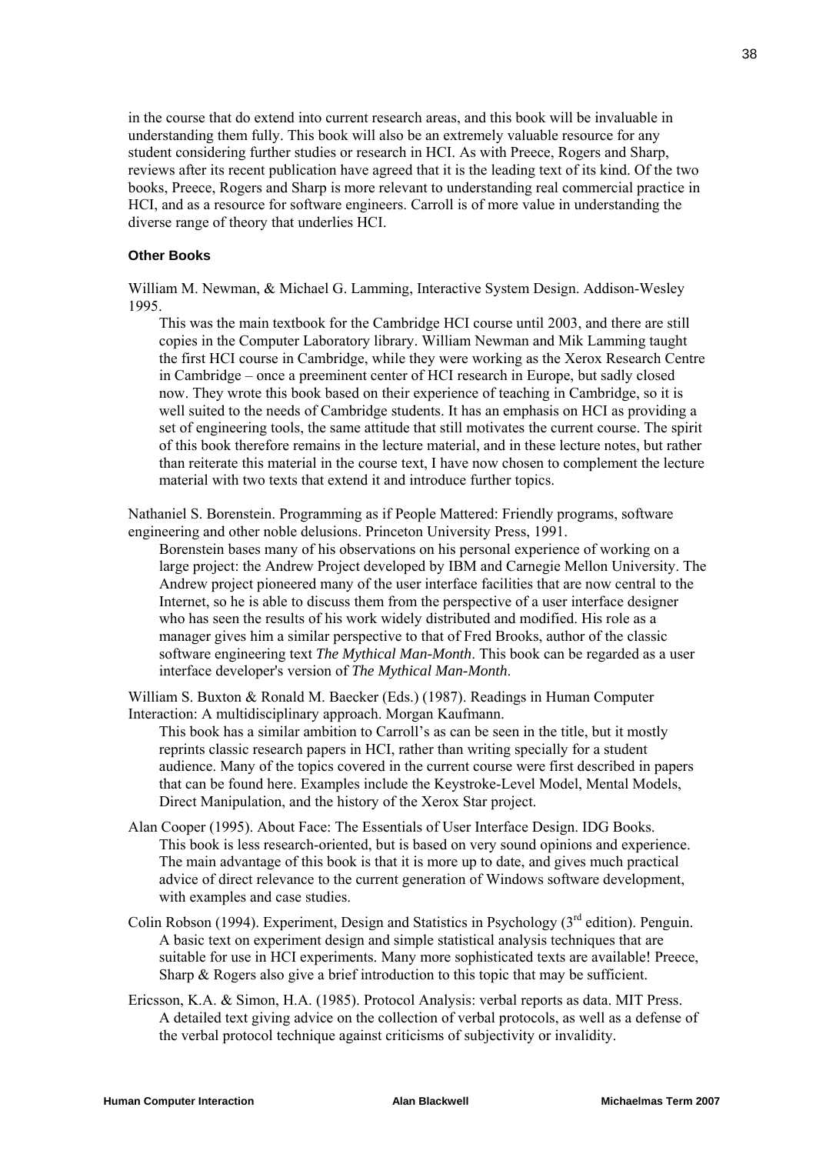in the course that do extend into current research areas, and this book will be invaluable in understanding them fully. This book will also be an extremely valuable resource for any student considering further studies or research in HCI. As with Preece, Rogers and Sharp, reviews after its recent publication have agreed that it is the leading text of its kind. Of the two books, Preece, Rogers and Sharp is more relevant to understanding real commercial practice in HCI, and as a resource for software engineers. Carroll is of more value in understanding the diverse range of theory that underlies HCI.

### **Other Books**

William M. Newman, & Michael G. Lamming, Interactive System Design. Addison-Wesley 1995.

This was the main textbook for the Cambridge HCI course until 2003, and there are still copies in the Computer Laboratory library. William Newman and Mik Lamming taught the first HCI course in Cambridge, while they were working as the Xerox Research Centre in Cambridge – once a preeminent center of HCI research in Europe, but sadly closed now. They wrote this book based on their experience of teaching in Cambridge, so it is well suited to the needs of Cambridge students. It has an emphasis on HCI as providing a set of engineering tools, the same attitude that still motivates the current course. The spirit of this book therefore remains in the lecture material, and in these lecture notes, but rather than reiterate this material in the course text, I have now chosen to complement the lecture material with two texts that extend it and introduce further topics.

Nathaniel S. Borenstein. Programming as if People Mattered: Friendly programs, software engineering and other noble delusions. Princeton University Press, 1991.

Borenstein bases many of his observations on his personal experience of working on a large project: the Andrew Project developed by IBM and Carnegie Mellon University. The Andrew project pioneered many of the user interface facilities that are now central to the Internet, so he is able to discuss them from the perspective of a user interface designer who has seen the results of his work widely distributed and modified. His role as a manager gives him a similar perspective to that of Fred Brooks, author of the classic software engineering text *The Mythical Man-Month*. This book can be regarded as a user interface developer's version of *The Mythical Man-Month*.

William S. Buxton & Ronald M. Baecker (Eds.) (1987). Readings in Human Computer Interaction: A multidisciplinary approach. Morgan Kaufmann.

This book has a similar ambition to Carroll's as can be seen in the title, but it mostly reprints classic research papers in HCI, rather than writing specially for a student audience. Many of the topics covered in the current course were first described in papers that can be found here. Examples include the Keystroke-Level Model, Mental Models, Direct Manipulation, and the history of the Xerox Star project.

- Alan Cooper (1995). About Face: The Essentials of User Interface Design. IDG Books. This book is less research-oriented, but is based on very sound opinions and experience. The main advantage of this book is that it is more up to date, and gives much practical advice of direct relevance to the current generation of Windows software development, with examples and case studies.
- Colin Robson (1994). Experiment, Design and Statistics in Psychology  $3<sup>rd</sup>$  edition). Penguin. A basic text on experiment design and simple statistical analysis techniques that are suitable for use in HCI experiments. Many more sophisticated texts are available! Preece, Sharp & Rogers also give a brief introduction to this topic that may be sufficient.
- Ericsson, K.A. & Simon, H.A. (1985). Protocol Analysis: verbal reports as data. MIT Press. A detailed text giving advice on the collection of verbal protocols, as well as a defense of the verbal protocol technique against criticisms of subjectivity or invalidity.